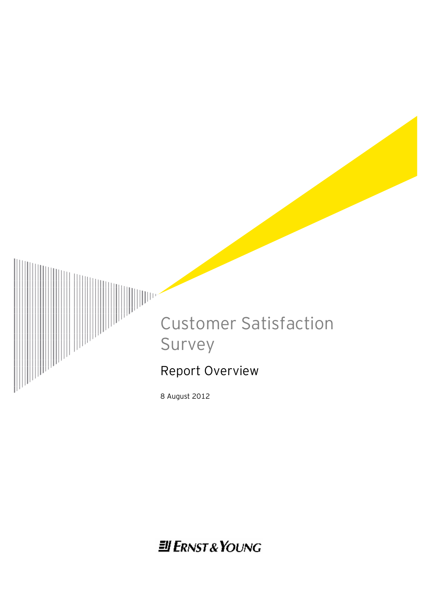

8 August 2012

**Ell ERNST & YOUNG**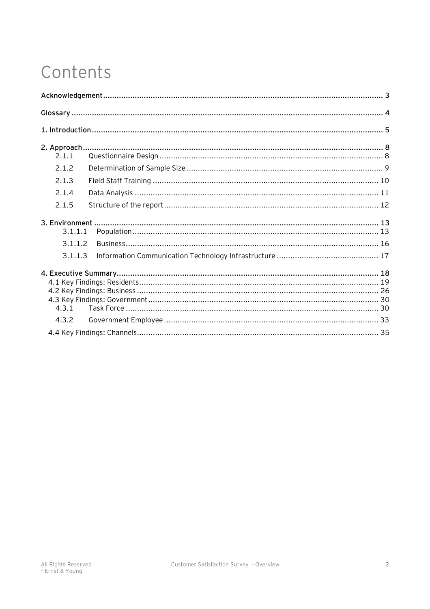# Contents

| 2.1.1   |  |
|---------|--|
| 2.1.2   |  |
| 2.1.3   |  |
| 2.1.4   |  |
| 2.1.5   |  |
| 3.1.1.1 |  |
| 3.1.1.2 |  |
| 3.1.1.3 |  |
| 4.3.1   |  |
| 4.3.2   |  |
|         |  |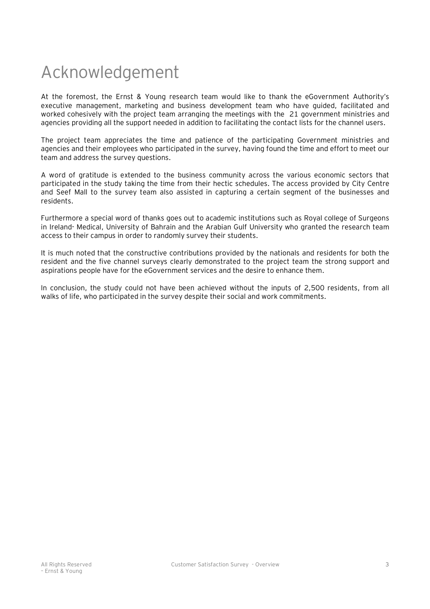# Acknowledgement

At the foremost, the Ernst & Young research team would like to thank the eGovernment Authority's executive management, marketing and business development team who have guided, facilitated and worked cohesively with the project team arranging the meetings with the 21 government ministries and agencies providing all the support needed in addition to facilitating the contact lists for the channel users.

The project team appreciates the time and patience of the participating Government ministries and agencies and their employees who participated in the survey, having found the time and effort to meet our team and address the survey questions.

A word of gratitude is extended to the business community across the various economic sectors that participated in the study taking the time from their hectic schedules. The access provided by City Centre and Seef Mall to the survey team also assisted in capturing a certain segment of the businesses and residents.

Furthermore a special word of thanks goes out to academic institutions such as Royal college of Surgeons in Ireland- Medical, University of Bahrain and the Arabian Gulf University who granted the research team access to their campus in order to randomly survey their students.

It is much noted that the constructive contributions provided by the nationals and residents for both the resident and the five channel surveys clearly demonstrated to the project team the strong support and aspirations people have for the eGovernment services and the desire to enhance them.

In conclusion, the study could not have been achieved without the inputs of 2,500 residents, from all walks of life, who participated in the survey despite their social and work commitments.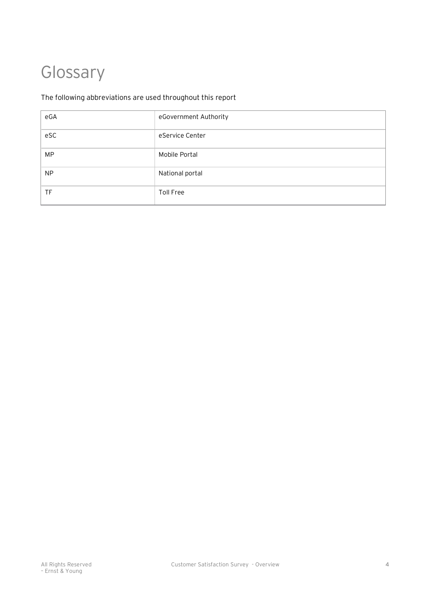# Glossary

# The following abbreviations are used throughout this report

|     | eGovernment Authority |
|-----|-----------------------|
| eSC | eService Center       |
| МP  | Mobile Portal         |
| ΝP  | National portal       |
|     | Toll Free             |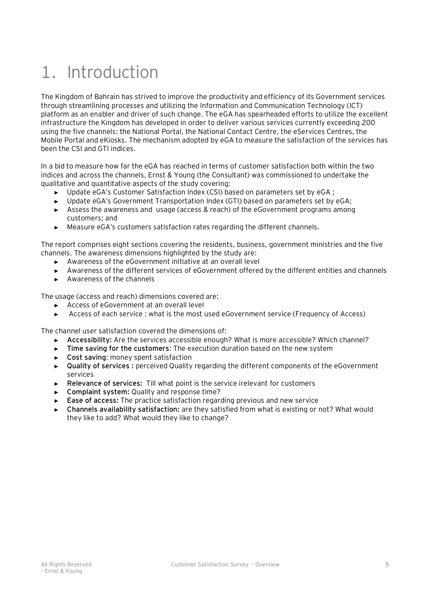# 1. Introduction

The Kingdom of Bahrain has strived to improve the productivity and efficiency of its Government services through streamlining processes and utilizing the Information and Communication Technology (ICT) platform as an enabler and driver of such change. The eGA has spearheaded efforts to utilize the excellent infrastructure the Kingdom has developed in order to deliver various services currently exceeding 200 using the five channels: the National Portal, the National Contact Centre, the eServices Centres, the Mobile Portal and eKiosks. The mechanism adopted by eGA to measure the satisfaction of the services has been the CSI and GTI indices.

In a bid to measure how far the eGA has reached in terms of customer satisfaction both within the two indices and across the channels, Ernst & Young (the Consultant) was commissioned to undertake the qualitative and quantitative aspects of the study covering:

- Update eGA's Customer Satisfaction Index (CSI) based on parameters set by eGA ;
- ► Update eGA's Government Transportation Index (GTI) based on parameters set by eGA;
- ► Assess the awareness and usage (access & reach) of the eGovernment programs among customers; and
- ► Measure eGA's customers satisfaction rates regarding the different channels.

The report comprises eight sections covering the residents, business, government ministries and the five channels. The awareness dimensions highlighted by the study are:

- ► Awareness of the eGovernment initiative at an overall level
- ► Awareness of the different services of eGovernment offered by the different entities and channels
- ► Awareness of the channels

The usage (access and reach) dimensions covered are:

- ► Access of eGovernment at an overall level
- ► Access of each service : what is the most used eGovernment service (Frequency of Access)

The channel user satisfaction covered the dimensions of:

- ► **Accessibility:** Are the services accessible enough? What is more accessible? Which channel?
- ► **Time saving for the customers**: The execution duration based on the new system
- ► **Cost saving**: money spent satisfaction
- ► **Quality of services :** perceived Quality regarding the different components of the eGovernment services
- ► **Relevance of services:** Till what point is the service irelevant for customers
- ► **Complaint system:** Quality and response time?
- ► **Ease of access:** The practice satisfaction regarding previous and new service
- ► **Channels availability satisfaction:** are they satisfied from what is existing or not? What would they like to add? What would they like to change?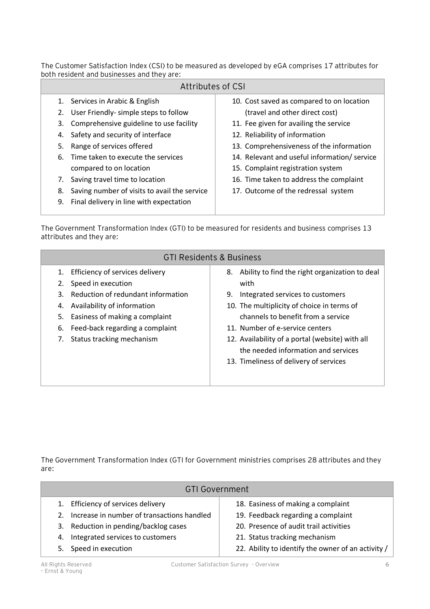The Customer Satisfaction Index (CSI) to be measured as developed by eGA comprises 17 attributes for both resident and businesses and they are:

|    | Attributes of CSI                            |                                             |
|----|----------------------------------------------|---------------------------------------------|
|    | 1. Services in Arabic & English              | 10. Cost saved as compared to on location   |
| 2. | User Friendly- simple steps to follow        | (travel and other direct cost)              |
| 3. | Comprehensive guideline to use facility      | 11. Fee given for availing the service      |
|    | 4. Safety and security of interface          | 12. Reliability of information              |
| 5. | Range of services offered                    | 13. Comprehensiveness of the information    |
|    | 6. Time taken to execute the services        | 14. Relevant and useful information/service |
|    | compared to on location                      | 15. Complaint registration system           |
| 7. | Saving travel time to location               | 16. Time taken to address the complaint     |
| 8. | Saving number of visits to avail the service | 17. Outcome of the redressal system         |
| 9. | Final delivery in line with expectation      |                                             |
|    |                                              |                                             |

The Government Transformation Index (GTI) to be measured for residents and business comprises 13 attributes and they are:

|                                                                                                                                                                                                                                                                  | <b>GTI Residents &amp; Business</b>                                                                                                                                                                                                                                                                                                                            |  |  |  |  |  |  |  |  |  |
|------------------------------------------------------------------------------------------------------------------------------------------------------------------------------------------------------------------------------------------------------------------|----------------------------------------------------------------------------------------------------------------------------------------------------------------------------------------------------------------------------------------------------------------------------------------------------------------------------------------------------------------|--|--|--|--|--|--|--|--|--|
| Efficiency of services delivery<br>1.<br>Speed in execution<br>Reduction of redundant information<br>3.<br>Availability of information<br>4.<br>Easiness of making a complaint<br>5.<br>Feed-back regarding a complaint<br>6.<br>Status tracking mechanism<br>7. | 8. Ability to find the right organization to deal<br>with<br>Integrated services to customers<br>9.<br>10. The multiplicity of choice in terms of<br>channels to benefit from a service<br>11. Number of e-service centers<br>12. Availability of a portal (website) with all<br>the needed information and services<br>13. Timeliness of delivery of services |  |  |  |  |  |  |  |  |  |

The Government Transformation Index (GTI for Government ministries comprises 28 attributes and they are:

|    | <b>GTI Government</b>                      |                                                    |  |  |  |  |  |  |  |
|----|--------------------------------------------|----------------------------------------------------|--|--|--|--|--|--|--|
|    | Efficiency of services delivery            | 18. Easiness of making a complaint                 |  |  |  |  |  |  |  |
| 2. | Increase in number of transactions handled | 19. Feedback regarding a complaint                 |  |  |  |  |  |  |  |
| 3. | Reduction in pending/backlog cases         | 20. Presence of audit trail activities             |  |  |  |  |  |  |  |
| 4. | Integrated services to customers           | 21. Status tracking mechanism                      |  |  |  |  |  |  |  |
|    | 5. Speed in execution                      | 22. Ability to identify the owner of an activity / |  |  |  |  |  |  |  |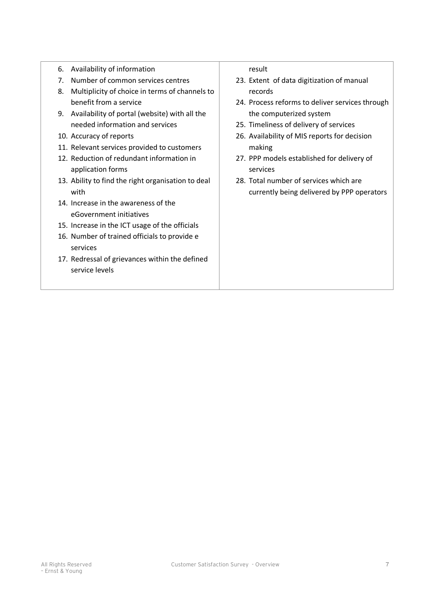- 6. Availability of information
- 7. Number of common services centres
- 8. Multiplicity of choice in terms of channels to benefit from a service
- 9. Availability of portal (website) with all the needed information and services
- 10. Accuracy of reports
- 11. Relevant services provided to customers
- 12. Reduction of redundant information in application forms
- 13. Ability to find the right organisation to deal with
- 14. Increase in the awareness of the eGovernment initiatives
- 15. Increase in the ICT usage of the officials
- 16. Number of trained officials to provide e services
- 17. Redressal of grievances within the defined service levels

result

- 23. Extent of data digitization of manual records
- 24. Process reforms to deliver services through the computerized system
- 25. Timeliness of delivery of services
- 26. Availability of MIS reports for decision making
- 27. PPP models established for delivery of services
- 28. Total number of services which are currently being delivered by PPP operators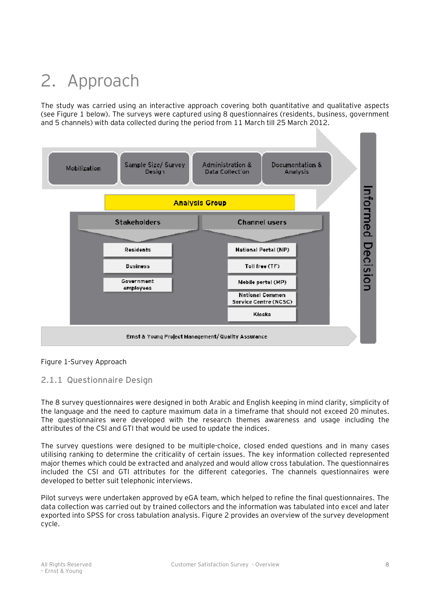# 2. Approach

The study was carried using an interactive approach covering both quantitative and qualitative aspects (see Figure 1 below). The surveys were captured using 8 questionnaires (residents, business, government and 5 channels) with data collected during the period from 11 March till 25 March 2012.



#### Figure 1-Survey Approach

#### **2.1.1 Questionnaire Design**

The 8 survey questionnaires were designed in both Arabic and English keeping in mind clarity, simplicity of the language and the need to capture maximum data in a timeframe that should not exceed 20 minutes. The questionnaires were developed with the research themes awareness and usage including the attributes of the CSI and GTI that would be used to update the indices.

The survey questions were designed to be multiple-choice, closed ended questions and in many cases utilising ranking to determine the criticality of certain issues. The key information collected represented major themes which could be extracted and analyzed and would allow cross tabulation. The questionnaires included the CSI and GTI attributes for the different categories. The channels questionnaires were developed to better suit telephonic interviews.

Pilot surveys were undertaken approved by eGA team, which helped to refine the final questionnaires. The data collection was carried out by trained collectors and the information was tabulated into excel and later exported into SPSS for cross tabulation analysis. Figure 2 provides an overview of the survey development cycle.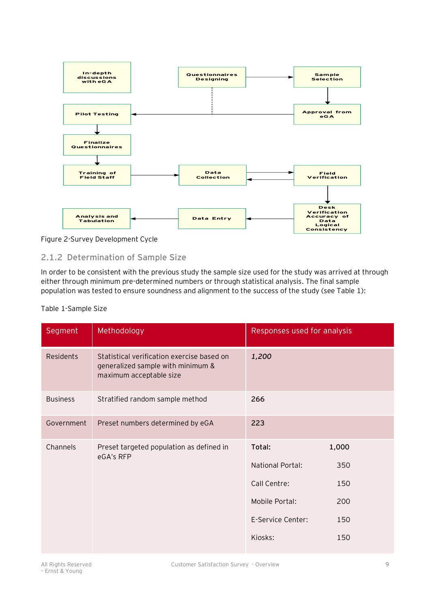

Figure 2-Survey Development Cycle

# **2.1.2 Determination of Sample Size**

In order to be consistent with the previous study the sample size used for the study was arrived at through either through minimum pre-determined numbers or through statistical analysis. The final sample population was tested to ensure soundness and alignment to the success of the study (see Table 1):

#### Table 1-Sample Size

| Segment          | Methodology                                                                                                | Responses used for analysis |     |  |
|------------------|------------------------------------------------------------------------------------------------------------|-----------------------------|-----|--|
| <b>Residents</b> | Statistical verification exercise based on<br>generalized sample with minimum &<br>maximum acceptable size | 1,200                       |     |  |
| <b>Business</b>  | Stratified random sample method                                                                            | 266                         |     |  |
| Government       | Preset numbers determined by eGA                                                                           | 223                         |     |  |
| Channels         | Preset targeted population as defined in<br>eGA's RFP                                                      | Total:<br>1,000             |     |  |
|                  |                                                                                                            | National Portal:<br>350     |     |  |
|                  |                                                                                                            | Call Centre:                | 150 |  |
|                  |                                                                                                            | Mobile Portal:<br>200       |     |  |
|                  |                                                                                                            | E-Service Center:           | 150 |  |
|                  |                                                                                                            | Kiosks:                     | 150 |  |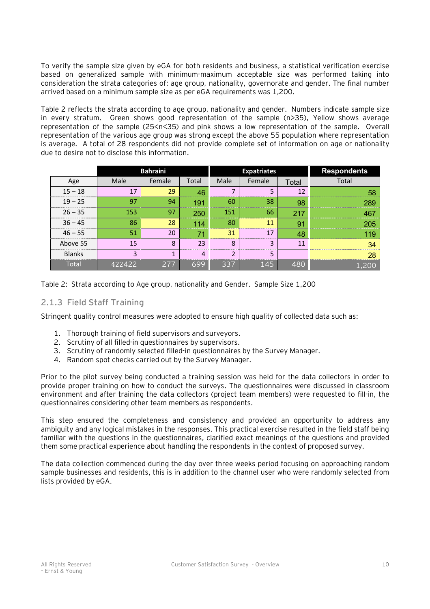To verify the sample size given by eGA for both residents and business, a statistical verification exercise based on generalized sample with minimum-maximum acceptable size was performed taking into consideration the strata categories of: age group, nationality, governorate and gender. The final number arrived based on a minimum sample size as per eGA requirements was 1,200.

Table 2 reflects the strata according to age group, nationality and gender. Numbers indicate sample size in every stratum. Green shows good representation of the sample (n>35), Yellow shows average representation of the sample (25<n<35) and pink shows a low representation of the sample. Overall representation of the various age group was strong except the above 55 population where representation is average. A total of 28 respondents did not provide complete set of information on age or nationality due to desire not to disclose this information.

|               |      | <b>Bahraini</b> |       |      | <b>Expatriates</b> | <b>Respondents</b> |       |
|---------------|------|-----------------|-------|------|--------------------|--------------------|-------|
| Age           | Male | Female          | Total | Male | Female             | Total              | Total |
| $15 - 18$     | 17   | 29              | 46    |      |                    | 12                 | 58    |
| $19 - 25$     | 97   | 94              | 191   | 60   | 38                 | 98                 | 280   |
| $26 - 35$     | 153  | 97              | 250   | 151  | 66                 | 217                |       |
| $36 - 45$     | 86   | 28              | 114   | 80   | 11                 | 91                 |       |
| $46 - 55$     | 51   | 20              | 71    | 31   | 17                 | 48                 |       |
| Above 55      | 15   | 8               | 23    | 8    | 3                  |                    |       |
| <b>Blanks</b> | ◠    |                 | 4     |      | 5                  |                    |       |
| Total         | フオフフ | 277             | 699   | 337  | 145                | 480                |       |

Table 2: Strata according to Age group, nationality and Gender. Sample Size 1,200

### **2.1.3 Field Staff Training**

Stringent quality control measures were adopted to ensure high quality of collected data such as:

- 1. Thorough training of field supervisors and surveyors.
- 2. Scrutiny of all filled-in questionnaires by supervisors.
- 3. Scrutiny of randomly selected filled-in questionnaires by the Survey Manager.
- 4. Random spot checks carried out by the Survey Manager.

Prior to the pilot survey being conducted a training session was held for the data collectors in order to provide proper training on how to conduct the surveys. The questionnaires were discussed in classroom environment and after training the data collectors (project team members) were requested to fill-in, the questionnaires considering other team members as respondents.

This step ensured the completeness and consistency and provided an opportunity to address any ambiguity and any logical mistakes in the responses. This practical exercise resulted in the field staff being familiar with the questions in the questionnaires, clarified exact meanings of the questions and provided them some practical experience about handling the respondents in the context of proposed survey.

The data collection commenced during the day over three weeks period focusing on approaching random sample businesses and residents, this is in addition to the channel user who were randomly selected from lists provided by eGA.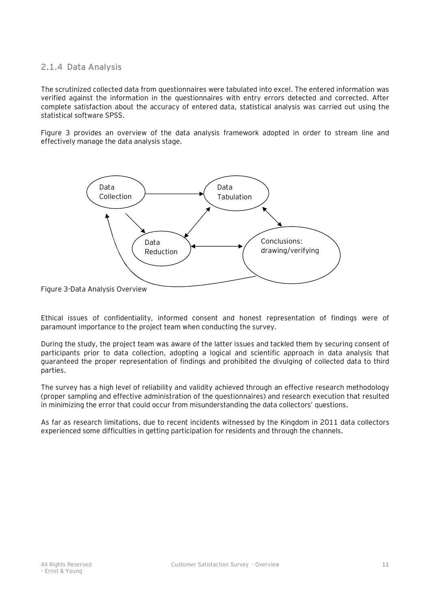### **2.1.4 Data Analysis**

The scrutinized collected data from questionnaires were tabulated into excel. The entered information was verified against the information in the questionnaires with entry errors detected and corrected. After complete satisfaction about the accuracy of entered data, statistical analysis was carried out using the statistical software SPSS.

Figure 3 provides an overview of the data analysis framework adopted in order to stream line and effectively manage the data analysis stage.



Figure 3-Data Analysis Overview

Ethical issues of confidentiality, informed consent and honest representation of findings were of paramount importance to the project team when conducting the survey.

During the study, the project team was aware of the latter issues and tackled them by securing consent of participants prior to data collection, adopting a logical and scientific approach in data analysis that guaranteed the proper representation of findings and prohibited the divulging of collected data to third parties.

The survey has a high level of reliability and validity achieved through an effective research methodology (proper sampling and effective administration of the questionnaires) and research execution that resulted in minimizing the error that could occur from misunderstanding the data collectors' questions.

As far as research limitations, due to recent incidents witnessed by the Kingdom in 2011 data collectors experienced some difficulties in getting participation for residents and through the channels.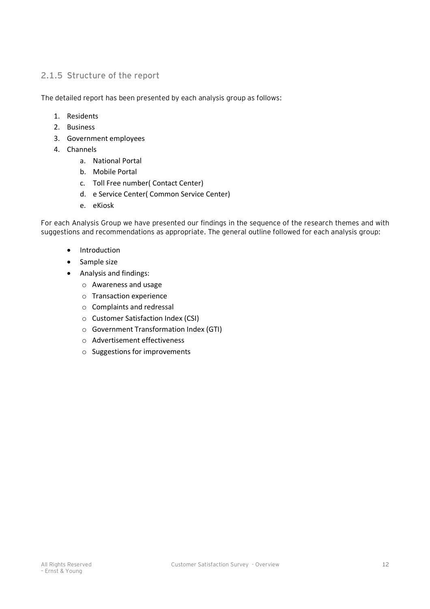# **2.1.5 Structure of the report**

The detailed report has been presented by each analysis group as follows:

- 1. Residents
- 2. Business
- 3. Government employees
- 4. Channels
	- a. National Portal
	- b. Mobile Portal
	- c. Toll Free number( Contact Center)
	- d. e Service Center( Common Service Center)
	- e. eKiosk

For each Analysis Group we have presented our findings in the sequence of the research themes and with suggestions and recommendations as appropriate. The general outline followed for each analysis group:

- · Introduction
- · Sample size
- · Analysis and findings:
	- o Awareness and usage
	- o Transaction experience
	- o Complaints and redressal
	- o Customer Satisfaction Index (CSI)
	- o Government Transformation Index (GTI)
	- o Advertisement effectiveness
	- o Suggestions for improvements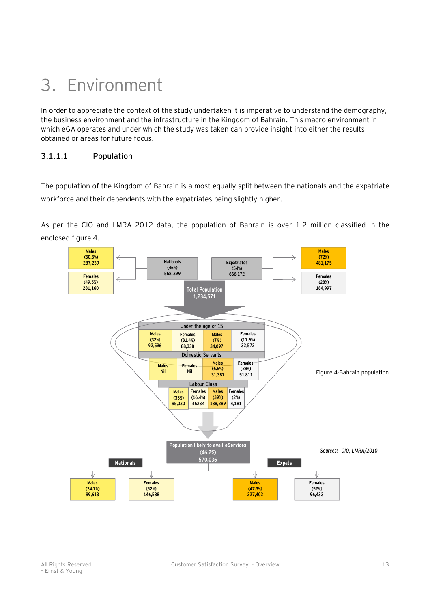# 3. Environment

In order to appreciate the context of the study undertaken it is imperative to understand the demography, the business environment and the infrastructure in the Kingdom of Bahrain. This macro environment in which eGA operates and under which the study was taken can provide insight into either the results obtained or areas for future focus.

# **3.1.1.1 Population**

The population of the Kingdom of Bahrain is almost equally split between the nationals and the expatriate workforce and their dependents with the expatriates being slightly higher.

As per the CIO and LMRA 2012 data, the population of Bahrain is over 1.2 million classified in the enclosed figure 4.

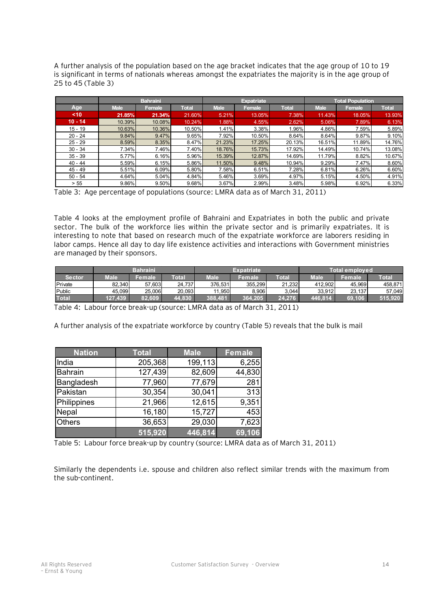A further analysis of the population based on the age bracket indicates that the age group of 10 to 19 is significant in terms of nationals whereas amongst the expatriates the majority is in the age group of 25 to 45 (Table 3)

|           |             | Bahraini |              |             | <b>Expatriate</b> |              | Total Population |        |              |
|-----------|-------------|----------|--------------|-------------|-------------------|--------------|------------------|--------|--------------|
| Age       | <b>Male</b> | Female   | <b>Total</b> | <b>Male</b> | Female            | <b>Total</b> | <b>Male</b>      | Female | <b>Total</b> |
| $10$      | 21.85%      | 21.34%   | 21.60%       | 5.21%       | 13.05%            | 7.38%        | 11.43%           | 18.05% | 13.93%       |
| $10 - 14$ | 10.39%      | 10.08%   | 10.24%       | 1.88%       | 4.55%             | 2.62%        | 5.06%            | 7.89%  | 6.13%        |
| $15 - 19$ | 10.63%      | 10.36%   | 10.50%       | 1.41%       | 3.38%             | $1.96\%$     | 4.86%            | 7.59%  | 5.89%        |
| $20 - 24$ | 9.84%       | 9.47%    | 9.65%        | 7.92%       | 10.50%            | 8.64%        | 8.64%            | 9.87%  | 9.10%        |
| $25 - 29$ | 8.59%       | 8.35%    | 8.47%        | 21.23%      | 17.25%            | 20.13%       | 16.51%           | 11.89% | 14.76%       |
| $30 - 34$ | 7.34%       | 7.46%    | 7.40%        | 18.76%      | 15.73%            | 17.92%       | 14.49%           | 10.74% | 13.08%       |
| $35 - 39$ | 5.77%       | 6.16%    | $5.96\%$     | 15.39%      | 12.87%            | 14.69%       | 11.79%           | 8.82%  | 10.67%       |
| $40 - 44$ | 5.59%       | 6.15%    | $5.86\%$     | 11.50%      | 9.48%             | 10.94%       | 9.29%            | 7.47%  | 8.60%        |
| $45 - 49$ | 5.51%       | 6.09%    | 5.80%        | 7.58%       | 6.51%             | 7.28%        | 6.81%            | 6.26%  | 6.60%        |
| $50 - 54$ | 4.64%       | 5.04%    | 4.84%        | 5.46%       | 3.69%             | 4.97%        | 5.15%            | 4.50%  | 4.91%        |
| > 55      | 9.86%       | 9.50%    | 9.68%        | 3.67%       | 2.99%             | 3.48%        | 5.98%            | 6.92%  | 6.33%        |

Table 3: Age percentage of populations (source: LMRA data as of March 31, 2011)

Table 4 looks at the employment profile of Bahraini and Expatriates in both the public and private sector. The bulk of the workforce lies within the private sector and is primarily expatriates. It is interesting to note that based on research much of the expatriate workforce are laborers residing in labor camps. Hence all day to day life existence activities and interactions with Government ministries are managed by their sponsors.

|              | <b>Bahraini</b> |        |        | Expatriate |         |              | Total employed |        |              |  |
|--------------|-----------------|--------|--------|------------|---------|--------------|----------------|--------|--------------|--|
| Sector       | Male            | Female | Total  | Male       | Female  | <b>Total</b> | <b>Male</b>    | Female | <b>Total</b> |  |
| Private      | 82.340          | 57.603 | 24.737 | 376.531    | 355.299 | 21.232       | 412.902        | 45.969 | 458,871      |  |
| Public       | 45.099          | 25.006 | 20.093 | .950       | 8.906   | 3.044        | 33.912         | 23.137 | 57.049       |  |
| <b>Total</b> | 127.439         | 82.609 | 44.830 | 388.481    | 364.205 | 24.276       | 446.814        | 69.106 | 515.920      |  |

Table 4: Labour force break-up (source: LMRA data as of March 31, 2011)

A further analysis of the expatriate workforce by country (Table 5) reveals that the bulk is mail

| <b>Nation</b>  | <b>Total</b> | <b>Male</b> | <b>Female</b> |  |  |
|----------------|--------------|-------------|---------------|--|--|
| India          | 205,368      | 199,113     | 6,255         |  |  |
| <b>Bahrain</b> | 127,439      | 82,609      | 44,830        |  |  |
| Bangladesh     | 77,960       | 77,679      | 281           |  |  |
| Pakistan       | 30,354       | 30,041      | 313           |  |  |
| Philippines    | 21,966       | 12,615      | 9,351         |  |  |
| Nepal          | 16,180       | 15,727      | 453           |  |  |
| <b>Others</b>  | 36,653       |             | 7,623         |  |  |
|                | 515,920      | 446,814     | 69,106        |  |  |

Table 5: Labour force break-up by country (source: LMRA data as of March 31, 2011)

Similarly the dependents i.e. spouse and children also reflect similar trends with the maximum from the sub-continent.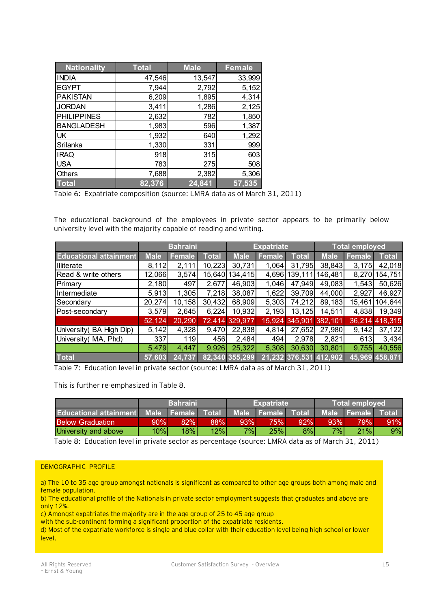| <b>Nationality</b> | <b>Total</b> | <b>Male</b> | <b>Female</b> |
|--------------------|--------------|-------------|---------------|
| <b>INDIA</b>       | 47,546       | 13,547      | 33,999        |
| <b>EGYPT</b>       | 7,944        | 2,792       | 5,152         |
| <b>PAKISTAN</b>    | 6,209        | 1,895       | 4,314         |
| <b>JORDAN</b>      | 3,411        | 1,286       | 2,125         |
| <b>PHILIPPINES</b> | 2,632        | 782         | 1,850         |
| <b>BANGLADESH</b>  | 1,983        | 596         | 1,387         |
| <b>UK</b>          | 1,932        | 640         | 1,292         |
| Srilanka           | 1,330        | 331         | 999           |
| <b>IRAQ</b>        | 918          | 315         | 603           |
| <b>USA</b>         | 783          | 275         | 508           |
| <b>Others</b>      | 7,688        | 2,382       | 5,306         |
| <b>Total</b>       | 82,376       | 24,841      | 57,535        |

Table 6: Expatriate composition (source: LMRA data as of March 31, 2011)

The educational background of the employees in private sector appears to be primarily below university level with the majority capable of reading and writing.

|                               | <b>Bahraini</b> |        |        | <b>Expatriate</b> |        |              | Total employed         |        |                |
|-------------------------------|-----------------|--------|--------|-------------------|--------|--------------|------------------------|--------|----------------|
| <b>Educational attainment</b> | <b>Male</b>     | Female | Total  | <b>Male</b>       | Female | <b>Total</b> | <b>Male</b>            | Female | Total          |
| Illiterate                    | 8,112           | 2,111  | 10,223 | 30,731            | 1,064  | 31,795       | 38,843                 | 3,175  | 42,018         |
| Read & write others           | 12,066          | 3,574  | 15,640 | 134,415           | 4,696  | 139,111      | 146,481                | 8,270  | 154,751        |
| Primary                       | 2,180           | 497    | 2,677  | 46,903            | 1,046  | 47,949       | 49,083                 | 1,543  | 50,626         |
| Intermediate                  | 5,913           | 1,305  | 7,218  | 38,087            | 1,622  | 39,709       | 44,000                 | 2,927  | 46,927         |
| Secondary                     | 20,274          | 10,158 | 30,432 | 68,909            | 5,303  | 74,212       | 89,183                 | 15,461 | 104,644        |
| Post-secondary                | 3,579           | 2,645  | 6,224  | 10,932            | 2,193  | 13,125       | 14,511                 | 4,838  | 19,349         |
|                               | 52,124          | 20,290 |        | 72,414 329,977    | 15,924 | 345,901      | 382,101                |        | 36,214 418,315 |
| University (BA High Dip)      | 5,142           | 4,328  | 9,470  | 22,838            | 4,814  | 27,652       | 27,980                 | 9,142  | 37,122         |
| University (MA, Phd)          | 337             | 119    | 456    | 2,484             | 494    | 2,978        | 2,821                  | 613    | 3,434          |
|                               | 5,479           | 4,447  | 9,926  | 25,322            | 5,308  | 30,630       | 30,801                 | 9,755  | 40,556         |
| <b>Total</b>                  | 57,603          | 24,737 |        | 82,340 355,299    |        |              | 21,232 376,531 412,902 | 45,969 | 458,871        |

Table 7: Education level in private sector (source: LMRA data as of March 31, 2011)

This is further re-emphasized in Table 8.

|                                                                              |        | <b>Bahraini</b> |     |     | <b>Expatriate</b> |     |       | Total employed |     |
|------------------------------------------------------------------------------|--------|-----------------|-----|-----|-------------------|-----|-------|----------------|-----|
| Educational attainment Male Female Total Male Female Total Male Female Total |        |                 |     |     |                   |     |       |                |     |
| <b>Below Graduation</b>                                                      | $90\%$ | 82%             | 88% | 93% | 75% !             | 92% | 93%   | <b>79%</b>     | 91% |
| University and above                                                         | 10%    | 18%             | 12% | 7%  | 25%               | 8%  | $7\%$ | 21%            | 9%  |

Table 8: Education level in private sector as percentage (source: LMRA data as of March 31, 2011)

#### DEMOGRAPHIC PROFILE

a) The 10 to 35 age group amongst nationals is significant as compared to other age groups both among male and female population.

b) The educational profile of the Nationals in private sector employment suggests that graduates and above are only 12%.

c) Amongst expatriates the majority are in the age group of 25 to 45 age group

with the sub-continent forming a significant proportion of the expatriate residents.

d) Most of the expatriate workforce is single and blue collar with their education level being high school or lower level.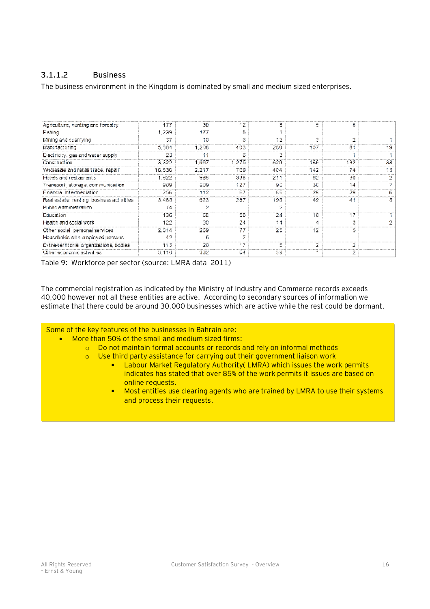# **3.1.1.2 Business**

The business environment in the Kingdom is dominated by small and medium sized enterprises.

| Agriculture, nunting and forestry        | 177    | 30         |       |      |      |     |    |
|------------------------------------------|--------|------------|-------|------|------|-----|----|
| Fishing                                  | 1.239  | <b>177</b> |       |      |      |     |    |
| Mining and cuarrying                     | 37     | 10         |       |      |      |     |    |
| Manufacturing                            | 5,364  | 1.206      | 403   | 280. | 107  |     |    |
| Electricity, gas and water supply        | 23     |            |       |      |      |     |    |
| Construction                             | 3.322  | 1 997      | -275. | 629  | 166  | 132 | 38 |
| Wholesale and retail trace, repair       | 15,536 | 2,217      | 769   | 404  | 342. | 74  |    |
| Hotels and restaurants.                  | 1.922  | 988        | 338   | 211  | -82  | 30  |    |
| Transport, storage, communication        | 909    | 209        | 127   | Θû   | ЗC   | 14  |    |
| Faancia Intermediation                   | 256    | 112        | E7    | 85   | 29   | 29  |    |
| Real estate realing business activities. | 3.485  | 323        | 287   | 195  | 49.  | 41  |    |
| Public Administration                    | 74     |            |       |      |      |     |    |
| Education                                | 136    | 68         | 50    | 24   | 18   | 17  |    |
| iHaalth and sockaf work                  | 122    | 30         | 24    | 14   |      |     |    |
| Other social inersonal services          | 2.914  | 269        | 77    | 25   | 12.  |     |    |
| Households with employed persons.        | 42     |            |       |      |      |     |    |
| Extra-territorial organizations, bodies  | 115    | 20         | - 7   |      |      |     |    |
| Other economic activities.               | 3.110  | 332.       | 64    | 38   |      |     |    |

Table 9: Workforce per sector (source: LMRA data 2011)

The commercial registration as indicated by the Ministry of Industry and Commerce records exceeds 40,000 however not all these entities are active. According to secondary sources of information we estimate that there could be around 30,000 businesses which are active while the rest could be dormant.

#### Some of the key features of the businesses in Bahrain are:

- · More than 50% of the small and medium sized firms:
	- o Do not maintain formal accounts or records and rely on informal methods
	- o Use third party assistance for carrying out their government liaison work
		- **EXECT** Labour Market Regulatory Authority( LMRA) which issues the work permits indicates has stated that over 85% of the work permits it issues are based on online requests.
		- $\blacksquare$  Most entities use clearing agents who are trained by LMRA to use their systems and process their requests.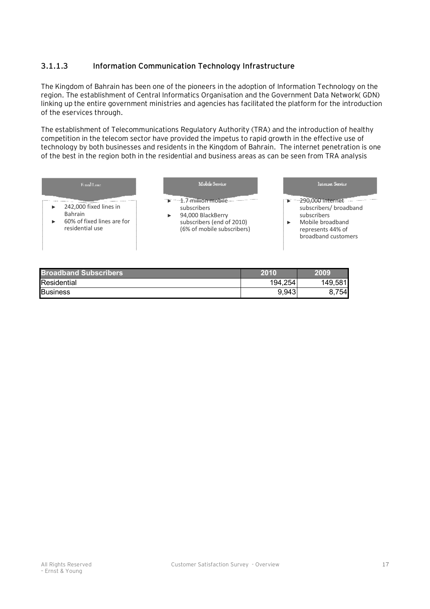# **3.1.1.3 Information Communication Technology Infrastructure**

The Kingdom of Bahrain has been one of the pioneers in the adoption of Information Technology on the region. The establishment of Central Informatics Organisation and the Government Data Network( GDN) linking up the entire government ministries and agencies has facilitated the platform for the introduction of the eservices through.

The establishment of Telecommunications Regulatory Authority (TRA) and the introduction of healthy competition in the telecom sector have provided the impetus to rapid growth in the effective use of technology by both businesses and residents in the Kingdom of Bahrain. The internet penetration is one of the best in the region both in the residential and business areas as can be seen from TRA analysis

| Fixed Line                                                                                | Mobile Service                                                                                                                            | Internet Service                                                                                                                                        |
|-------------------------------------------------------------------------------------------|-------------------------------------------------------------------------------------------------------------------------------------------|---------------------------------------------------------------------------------------------------------------------------------------------------------|
| 242,000 fixed lines in<br><b>Bahrain</b><br>60% of fixed lines are for<br>residential use | $\rightarrow$ -4.7-million mobile $-$<br>subscribers<br>94,000 BlackBerry<br>▶<br>subscribers (end of 2010)<br>(6% of mobile subscribers) | $\triangleright$ -290,000 internet. $\cdots$ -<br>subscribers/ broadband<br>subscribers<br>Mobile broadband<br>represents 44% of<br>broadband customers |

| <b>Broadband Subscribers</b> | 2010    | 2009    |
|------------------------------|---------|---------|
| Residential                  | 194,254 | 149,581 |
| <b>Business</b>              | 9,943   | 754     |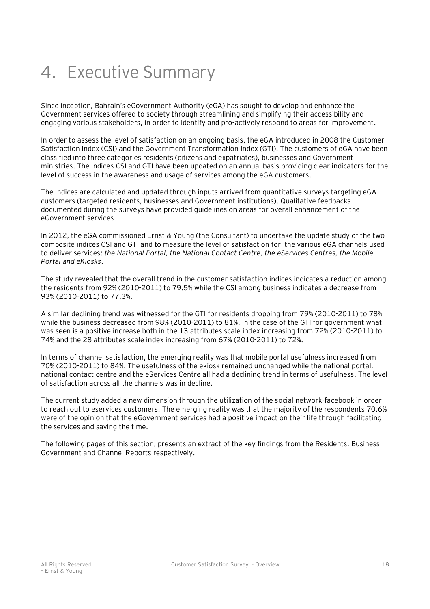# 4. Executive Summary

Since inception, Bahrain's eGovernment Authority (eGA) has sought to develop and enhance the Government services offered to society through streamlining and simplifying their accessibility and engaging various stakeholders, in order to identify and pro-actively respond to areas for improvement.

In order to assess the level of satisfaction on an ongoing basis, the eGA introduced in 2008 the Customer Satisfaction Index (CSI) and the Government Transformation Index (GTI). The customers of eGA have been classified into three categories residents (citizens and expatriates), businesses and Government ministries. The indices CSI and GTI have been updated on an annual basis providing clear indicators for the level of success in the awareness and usage of services among the eGA customers.

The indices are calculated and updated through inputs arrived from quantitative surveys targeting eGA customers (targeted residents, businesses and Government institutions). Qualitative feedbacks documented during the surveys have provided guidelines on areas for overall enhancement of the eGovernment services.

In 2012, the eGA commissioned Ernst & Young (the Consultant) to undertake the update study of the two composite indices CSI and GTI and to measure the level of satisfaction for the various eGA channels used to deliver services: *the National Portal, the National Contact Centre, the eServices Centres, the Mobile Portal and eKiosks*.

The study revealed that the overall trend in the customer satisfaction indices indicates a reduction among the residents from 92% (2010-2011) to 79.5% while the CSI among business indicates a decrease from 93% (2010-2011) to 77.3%.

A similar declining trend was witnessed for the GTI for residents dropping from 79% (2010-2011) to 78% while the business decreased from 98% (2010-2011) to 81%. In the case of the GTI for government what was seen is a positive increase both in the 13 attributes scale index increasing from 72% (2010-2011) to 74% and the 28 attributes scale index increasing from 67% (2010-2011) to 72%.

In terms of channel satisfaction, the emerging reality was that mobile portal usefulness increased from 70% (2010-2011) to 84%. The usefulness of the ekiosk remained unchanged while the national portal, national contact centre and the eServices Centre all had a declining trend in terms of usefulness. The level of satisfaction across all the channels was in decline.

The current study added a new dimension through the utilization of the social network-facebook in order to reach out to eservices customers. The emerging reality was that the majority of the respondents 70.6% were of the opinion that the eGovernment services had a positive impact on their life through facilitating the services and saving the time.

The following pages of this section, presents an extract of the key findings from the Residents, Business, Government and Channel Reports respectively.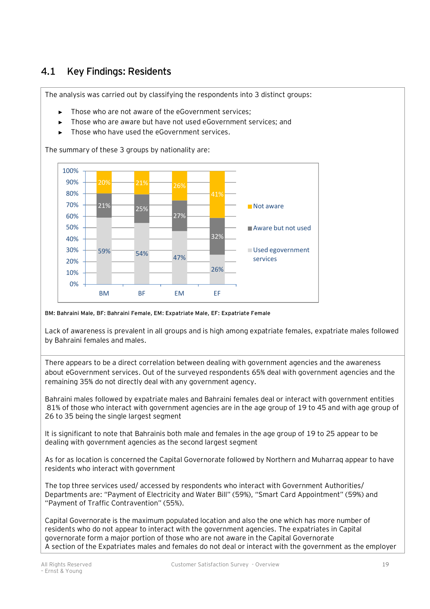# **4.1 Key Findings: Residents**

The analysis was carried out by classifying the respondents into 3 distinct groups:

- Those who are not aware of the eGovernment services:
- Those who are aware but have not used eGovernment services; and
- Those who have used the eGovernment services

The summary of these 3 groups by nationality are:



#### **BM: Bahraini Male, BF: Bahraini Female, EM: Expatriate Male, EF: Expatriate Female**

Lack of awareness is prevalent in all groups and is high among expatriate females, expatriate males followed by Bahraini females and males.

There appears to be a direct correlation between dealing with government agencies and the awareness about eGovernment services. Out of the surveyed respondents 65% deal with government agencies and the remaining 35% do not directly deal with any government agency.

Bahraini males followed by expatriate males and Bahraini females deal or interact with government entities 81% of those who interact with government agencies are in the age group of 19 to 45 and with age group of 26 to 35 being the single largest segment

It is significant to note that Bahrainis both male and females in the age group of 19 to 25 appear to be dealing with government agencies as the second largest segment

As for as location is concerned the Capital Governorate followed by Northern and Muharraq appear to have residents who interact with government

The top three services used/ accessed by respondents who interact with Government Authorities/ Departments are: "Payment of Electricity and Water Bill" (59%), "Smart Card Appointment" (59%) and "Payment of Traffic Contravention" (55%).

Capital Governorate is the maximum populated location and also the one which has more number of residents who do not appear to interact with the government agencies. The expatriates in Capital governorate form a major portion of those who are not aware in the Capital Governorate A section of the Expatriates males and females do not deal or interact with the government as the employer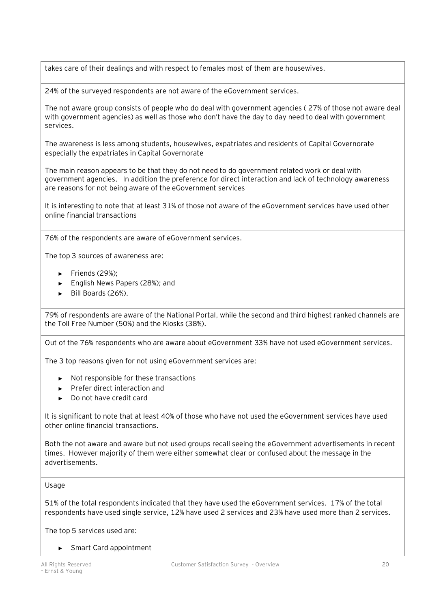takes care of their dealings and with respect to females most of them are housewives.

24% of the surveyed respondents are not aware of the eGovernment services.

The not aware group consists of people who do deal with government agencies ( 27% of those not aware deal with government agencies) as well as those who don't have the day to day need to deal with government services.

The awareness is less among students, housewives, expatriates and residents of Capital Governorate especially the expatriates in Capital Governorate

The main reason appears to be that they do not need to do government related work or deal with government agencies. In addition the preference for direct interaction and lack of technology awareness are reasons for not being aware of the eGovernment services

It is interesting to note that at least 31% of those not aware of the eGovernment services have used other online financial transactions

76% of the respondents are aware of eGovernment services.

The top 3 sources of awareness are:

- ► Friends (29%);
- ► English News Papers (28%); and
- ► Bill Boards (26%).

79% of respondents are aware of the National Portal, while the second and third highest ranked channels are the Toll Free Number (50%) and the Kiosks (38%).

Out of the 76% respondents who are aware about eGovernment 33% have not used eGovernment services.

The 3 top reasons given for not using eGovernment services are:

- ► Not responsible for these transactions
- ► Prefer direct interaction and
- ► Do not have credit card

It is significant to note that at least 40% of those who have not used the eGovernment services have used other online financial transactions.

Both the not aware and aware but not used groups recall seeing the eGovernment advertisements in recent times. However majority of them were either somewhat clear or confused about the message in the advertisements.

#### Usage

51% of the total respondents indicated that they have used the eGovernment services. 17% of the total respondents have used single service, 12% have used 2 services and 23% have used more than 2 services.

The top 5 services used are:

► Smart Card appointment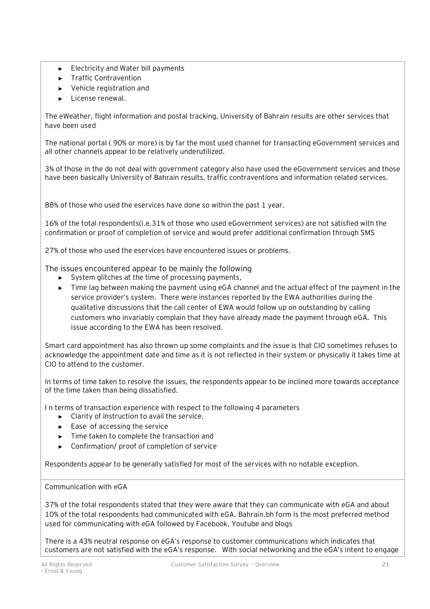- ► Electricity and Water bill payments
- ► Traffic Contravention
- ► Vehicle registration and
- ► License renewal.

The eWeather, flight information and postal tracking, University of Bahrain results are other services that have been used

The national portal ( 90% or more) is by far the most used channel for transacting eGovernment services and all other channels appear to be relatively underutilized.

3% of those in the do not deal with government category also have used the eGovernment services and those have been basically University of Bahrain results, traffic contraventions and information related services.

88% of those who used the eservices have done so within the past 1 year.

16% of the total respondents(i.e.31% of those who used eGovernment services) are not satisfied with the confirmation or proof of completion of service and would prefer additional confirmation through SMS

27% of those who used the eservices have encountered issues or problems.

The issues encountered appear to be mainly the following

- ► System glitches at the time of processing payments,
- ► Time lag between making the payment using eGA channel and the actual effect of the payment in the service provider's system. There were instances reported by the EWA authorities during the qualitative discussions that the call center of EWA would follow up on outstanding by calling customers who invariably complain that they have already made the payment through eGA. This issue according to the EWA has been resolved.

Smart card appointment has also thrown up some complaints and the issue is that CIO sometimes refuses to acknowledge the appointment date and time as it is not reflected in their system or physically it takes time at CIO to attend to the customer.

In terms of time taken to resolve the issues, the respondents appear to be inclined more towards acceptance of the time taken than being dissatisfied.

I n terms of transaction experience with respect to the following 4 parameters

- ► Clarity of instruction to avail the service,
- Ease of accessing the service
- ► Time taken to complete the transaction and
- ► Confirmation/ proof of completion of service

Respondents appear to be generally satisfied for most of the services with no notable exception.

#### Communication with eGA

37% of the total respondents stated that they were aware that they can communicate with eGA and about 10% of the total respondents had communicated with eGA. Bahrain.bh form is the most preferred method used for communicating with eGA followed by Facebook, Youtube and blogs

There is a 43% neutral response on eGA's response to customer communications which indicates that customers are not satisfied with the eGA's response. With social networking and the eGA's intent to engage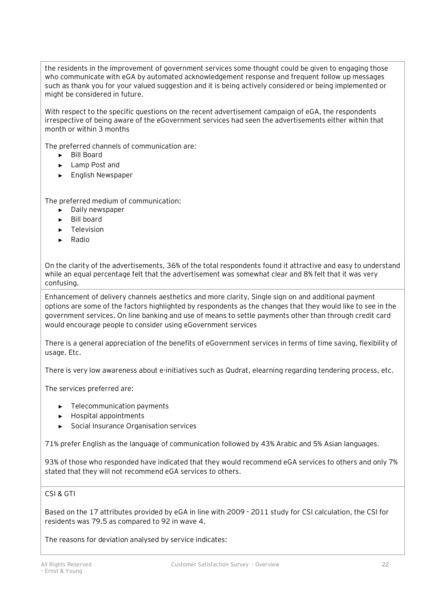the residents in the improvement of government services some thought could be given to engaging those who communicate with eGA by automated acknowledgement response and frequent follow up messages such as thank you for your valued suggestion and it is being actively considered or being implemented or might be considered in future.

With respect to the specific questions on the recent advertisement campaign of eGA, the respondents irrespective of being aware of the eGovernment services had seen the advertisements either within that month or within 3 months

The preferred channels of communication are:

- ► Bill Board
- ► Lamp Post and
- ► English Newspaper

The preferred medium of communication:

- ► Daily newspaper
- ► Bill board
- ► Television
- ► Radio

On the clarity of the advertisements, 36% of the total respondents found it attractive and easy to understand while an equal percentage felt that the advertisement was somewhat clear and 8% felt that it was very confusing.

Enhancement of delivery channels aesthetics and more clarity, Single sign on and additional payment options are some of the factors highlighted by respondents as the changes that they would like to see in the government services. On line banking and use of means to settle payments other than through credit card would encourage people to consider using eGovernment services

There is a general appreciation of the benefits of eGovernment services in terms of time saving, flexibility of usage. Etc.

There is very low awareness about e-initiatives such as Qudrat, elearning regarding tendering process, etc.

The services preferred are:

- ► Telecommunication payments
- ► Hospital appointments
- ► Social Insurance Organisation services

71% prefer English as the language of communication followed by 43% Arabic and 5% Asian languages.

93% of those who responded have indicated that they would recommend eGA services to others and only 7% stated that they will not recommend eGA services to others.

#### CSI & GTI

Based on the 17 attributes provided by eGA in line with 2009 - 2011 study for CSI calculation, the CSI for residents was 79.5 as compared to 92 in wave 4.

The reasons for deviation analysed by service indicates: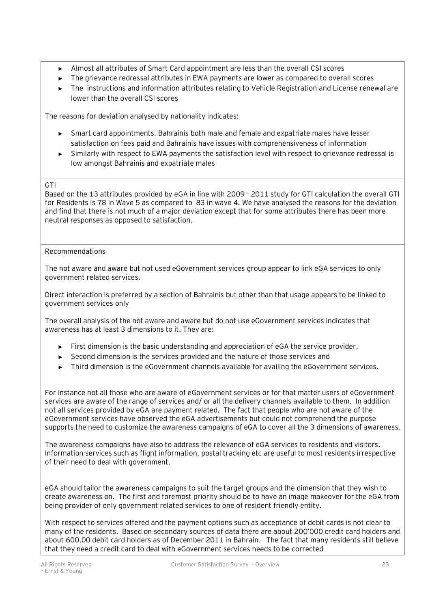- ► Almost all attributes of Smart Card appointment are less than the overall CSI scores
- ► The grievance redressal attributes in EWA payments are lower as compared to overall scores
- ► The instructions and information attributes relating to Vehicle Registration and License renewal are lower than the overall CSI scores

The reasons for deviation analysed by nationality indicates:

- ► Smart card appointments, Bahrainis both male and female and expatriate males have lesser satisfaction on fees paid and Bahrainis have issues with comprehensiveness of information
- ► Similarly with respect to EWA payments the satisfaction level with respect to grievance redressal is low amongst Bahrainis and expatriate males

### **GTI**

Based on the 13 attributes provided by eGA in line with 2009 - 2011 study for GTI calculation the overall GTI for Residents is 78 in Wave 5 as compared to 83 in wave 4. We have analysed the reasons for the deviation and find that there is not much of a major deviation except that for some attributes there has been more neutral responses as opposed to satisfaction.

#### Recommendations

The not aware and aware but not used eGovernment services group appear to link eGA services to only government related services.

Direct interaction is preferred by a section of Bahrainis but other than that usage appears to be linked to government services only

The overall analysis of the not aware and aware but do not use eGovernment services indicates that awareness has at least 3 dimensions to it. They are:

- ► First dimension is the basic understanding and appreciation of eGA the service provider,
- ► Second dimension is the services provided and the nature of those services and
- Third dimension is the eGovernment channels available for availing the eGovernment services.

For instance not all those who are aware of eGovernment services or for that matter users of eGovernment services are aware of the range of services and/ or all the delivery channels available to them. In addition not all services provided by eGA are payment related. The fact that people who are not aware of the eGovernment services have observed the eGA advertisements but could not comprehend the purpose supports the need to customize the awareness campaigns of eGA to cover all the 3 dimensions of awareness.

The awareness campaigns have also to address the relevance of eGA services to residents and visitors. Information services such as flight information, postal tracking etc are useful to most residents irrespective of their need to deal with government.

eGA should tailor the awareness campaigns to suit the target groups and the dimension that they wish to create awareness on. The first and foremost priority should be to have an image makeover for the eGA from being provider of only government related services to one of resident friendly entity.

With respect to services offered and the payment options such as acceptance of debit cards is not clear to many of the residents. Based on secondary sources of data there are about 200'000 credit card holders and about 600,00 debit card holders as of December 2011 in Bahrain. The fact that many residents still believe that they need a credit card to deal with eGovernment services needs to be corrected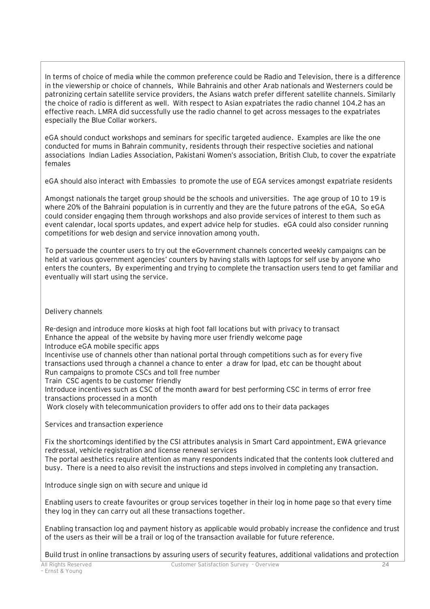In terms of choice of media while the common preference could be Radio and Television, there is a difference in the viewership or choice of channels, While Bahrainis and other Arab nationals and Westerners could be patronizing certain satellite service providers, the Asians watch prefer different satellite channels. Similarly the choice of radio is different as well. With respect to Asian expatriates the radio channel 104.2 has an effective reach. LMRA did successfully use the radio channel to get across messages to the expatriates especially the Blue Collar workers.

eGA should conduct workshops and seminars for specific targeted audience. Examples are like the one conducted for mums in Bahrain community, residents through their respective societies and national associations Indian Ladies Association, Pakistani Women's association, British Club, to cover the expatriate females

eGA should also interact with Embassies to promote the use of EGA services amongst expatriate residents

Amongst nationals the target group should be the schools and universities. The age group of 10 to 19 is where 20% of the Bahraini population is in currently and they are the future patrons of the eGA, So eGA could consider engaging them through workshops and also provide services of interest to them such as event calendar, local sports updates, and expert advice help for studies. eGA could also consider running competitions for web design and service innovation among youth.

To persuade the counter users to try out the eGovernment channels concerted weekly campaigns can be held at various government agencies' counters by having stalls with laptops for self use by anyone who enters the counters, By experimenting and trying to complete the transaction users tend to get familiar and eventually will start using the service.

# Delivery channels

Re-design and introduce more kiosks at high foot fall locations but with privacy to transact Enhance the appeal of the website by having more user friendly welcome page

Introduce eGA mobile specific apps

Incentivise use of channels other than national portal through competitions such as for every five transactions used through a channel a chance to enter a draw for Ipad, etc can be thought about Run campaigns to promote CSCs and toll free number

Train CSC agents to be customer friendly

Introduce incentives such as CSC of the month award for best performing CSC in terms of error free transactions processed in a month

Work closely with telecommunication providers to offer add ons to their data packages

Services and transaction experience

Fix the shortcomings identified by the CSI attributes analysis in Smart Card appointment, EWA grievance redressal, vehicle registration and license renewal services

The portal aesthetics require attention as many respondents indicated that the contents look cluttered and busy. There is a need to also revisit the instructions and steps involved in completing any transaction.

Introduce single sign on with secure and unique id

Enabling users to create favourites or group services together in their log in home page so that every time they log in they can carry out all these transactions together.

Enabling transaction log and payment history as applicable would probably increase the confidence and trust of the users as their will be a trail or log of the transaction available for future reference.

Build trust in online transactions by assuring users of security features, additional validations and protection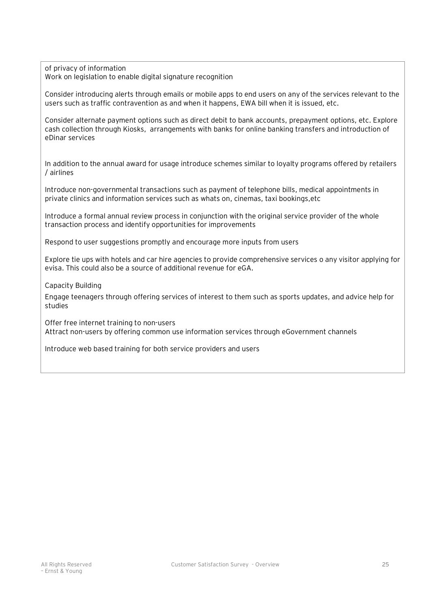of privacy of information Work on legislation to enable digital signature recognition

Consider introducing alerts through emails or mobile apps to end users on any of the services relevant to the users such as traffic contravention as and when it happens, EWA bill when it is issued, etc.

Consider alternate payment options such as direct debit to bank accounts, prepayment options, etc. Explore cash collection through Kiosks, arrangements with banks for online banking transfers and introduction of eDinar services

In addition to the annual award for usage introduce schemes similar to loyalty programs offered by retailers / airlines

Introduce non-governmental transactions such as payment of telephone bills, medical appointments in private clinics and information services such as whats on, cinemas, taxi bookings,etc

Introduce a formal annual review process in conjunction with the original service provider of the whole transaction process and identify opportunities for improvements

Respond to user suggestions promptly and encourage more inputs from users

Explore tie ups with hotels and car hire agencies to provide comprehensive services o any visitor applying for evisa. This could also be a source of additional revenue for eGA.

Capacity Building

Engage teenagers through offering services of interest to them such as sports updates, and advice help for studies

Offer free internet training to non-users Attract non-users by offering common use information services through eGovernment channels

Introduce web based training for both service providers and users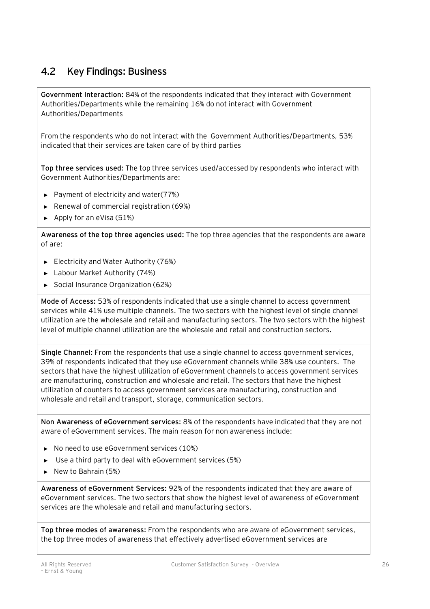# **4.2 Key Findings: Business**

**Government Interaction:** 84% of the respondents indicated that they interact with Government Authorities/Departments while the remaining 16% do not interact with Government Authorities/Departments

From the respondents who do not interact with the Government Authorities/Departments, 53% indicated that their services are taken care of by third parties

**Top three services used:** The top three services used/accessed by respondents who interact with Government Authorities/Departments are:

- ► Payment of electricity and water(77%)
- ► Renewal of commercial registration (69%)
- ► Apply for an eVisa (51%)

**Awareness of the top three agencies used:** The top three agencies that the respondents are aware of are:

- ► Electricity and Water Authority (76%)
- ► Labour Market Authority (74%)
- ► Social Insurance Organization (62%)

**Mode of Access:** 53% of respondents indicated that use a single channel to access government services while 41% use multiple channels. The two sectors with the highest level of single channel utilization are the wholesale and retail and manufacturing sectors. The two sectors with the highest level of multiple channel utilization are the wholesale and retail and construction sectors.

**Single Channel:** From the respondents that use a single channel to access government services, 39% of respondents indicated that they use eGovernment channels while 38% use counters. The sectors that have the highest utilization of eGovernment channels to access government services are manufacturing, construction and wholesale and retail. The sectors that have the highest utilization of counters to access government services are manufacturing, construction and wholesale and retail and transport, storage, communication sectors.

**Non Awareness of eGovernment services:** 8% of the respondents have indicated that they are not aware of eGovernment services. The main reason for non awareness include:

- ► No need to use eGovernment services (10%)
- ► Use a third party to deal with eGovernment services (5%)
- ► New to Bahrain (5%)

**Awareness of eGovernment Services:** 92% of the respondents indicated that they are aware of eGovernment services. The two sectors that show the highest level of awareness of eGovernment services are the wholesale and retail and manufacturing sectors.

**Top three modes of awareness:** From the respondents who are aware of eGovernment services, the top three modes of awareness that effectively advertised eGovernment services are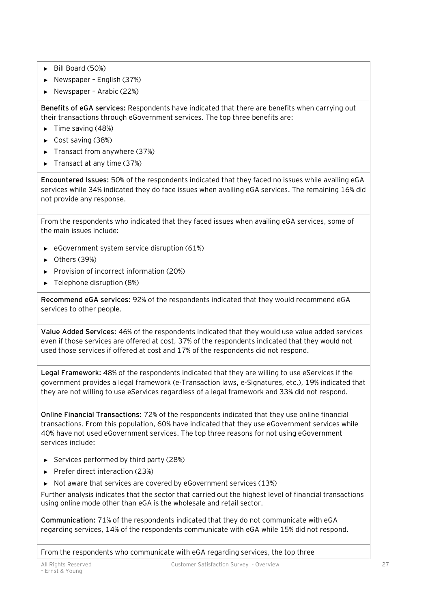- ► Bill Board (50%)
- ► Newspaper English (37%)
- ► Newspaper Arabic (22%)

**Benefits of eGA services:** Respondents have indicated that there are benefits when carrying out their transactions through eGovernment services. The top three benefits are:

- ► Time saving (48%)
- ► Cost saving (38%)
- ► Transact from anywhere (37%)
- ► Transact at any time (37%)

**Encountered Issues:** 50% of the respondents indicated that they faced no issues while availing eGA services while 34% indicated they do face issues when availing eGA services. The remaining 16% did not provide any response.

From the respondents who indicated that they faced issues when availing eGA services, some of the main issues include:

- ► eGovernment system service disruption (61%)
- ► Others (39%)
- ► Provision of incorrect information (20%)
- ► Telephone disruption (8%)

**Recommend eGA services:** 92% of the respondents indicated that they would recommend eGA services to other people.

**Value Added Services:** 46% of the respondents indicated that they would use value added services even if those services are offered at cost, 37% of the respondents indicated that they would not used those services if offered at cost and 17% of the respondents did not respond.

**Legal Framework:** 48% of the respondents indicated that they are willing to use eServices if the government provides a legal framework (e-Transaction laws, e-Signatures, etc.), 19% indicated that they are not willing to use eServices regardless of a legal framework and 33% did not respond.

**Online Financial Transactions:** 72% of the respondents indicated that they use online financial transactions. From this population, 60% have indicated that they use eGovernment services while 40% have not used eGovernment services. The top three reasons for not using eGovernment services include:

- ► Services performed by third party (28%)
- ► Prefer direct interaction (23%)
- ► Not aware that services are covered by eGovernment services (13%)

Further analysis indicates that the sector that carried out the highest level of financial transactions using online mode other than eGA is the wholesale and retail sector.

**Communication:** 71% of the respondents indicated that they do not communicate with eGA regarding services, 14% of the respondents communicate with eGA while 15% did not respond.

From the respondents who communicate with eGA regarding services, the top three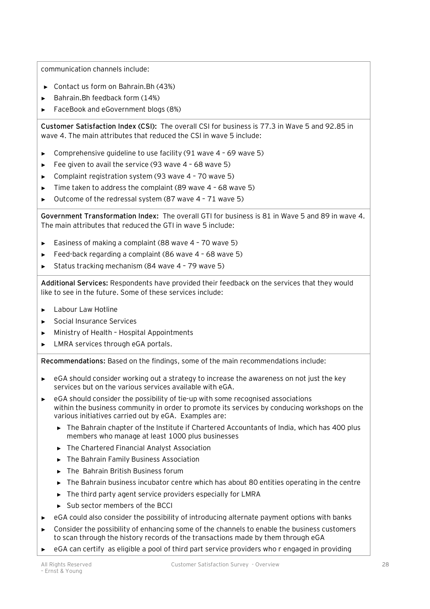communication channels include:

- ► Contact us form on Bahrain.Bh (43%)
- ► Bahrain.Bh feedback form (14%)
- ► FaceBook and eGovernment blogs (8%)

**Customer Satisfaction Index (CSI):** The overall CSI for business is 77.3 in Wave 5 and 92.85 in wave 4. The main attributes that reduced the CSI in wave 5 include:

- ► Comprehensive guideline to use facility (91 wave 4 69 wave 5)
- ► Fee given to avail the service (93 wave 4 68 wave 5)
- ► Complaint registration system (93 wave 4 70 wave 5)
- Time taken to address the complaint (89 wave  $4$  68 wave 5)
- ► Outcome of the redressal system (87 wave 4 71 wave 5)

**Government Transformation Index:** The overall GTI for business is 81 in Wave 5 and 89 in wave 4. The main attributes that reduced the GTI in wave 5 include:

- ► Easiness of making a complaint (88 wave 4 70 wave 5)
- Feed-back regarding a complaint (86 wave 4 68 wave 5)
- Status tracking mechanism (84 wave 4 79 wave 5)

**Additional Services:** Respondents have provided their feedback on the services that they would like to see in the future. Some of these services include:

- ► Labour Law Hotline
- ► Social Insurance Services
- Ministry of Health Hospital Appointments
- ► LMRA services through eGA portals.

**Recommendations:** Based on the findings, some of the main recommendations include:

- ► eGA should consider working out a strategy to increase the awareness on not just the key services but on the various services available with eGA.
- ► eGA should consider the possibility of tie-up with some recognised associations within the business community in order to promote its services by conducing workshops on the various initiatives carried out by eGA. Examples are:
	- ► The Bahrain chapter of the Institute if Chartered Accountants of India, which has 400 plus members who manage at least 1000 plus businesses
	- ► The Chartered Financial Analyst Association
	- ► The Bahrain Family Business Association
	- ► The Bahrain British Business forum
	- ► The Bahrain business incubator centre which has about 80 entities operating in the centre
	- ► The third party agent service providers especially for LMRA
	- ► Sub sector members of the BCCI
- eGA could also consider the possibility of introducing alternate payment options with banks
- Consider the possibility of enhancing some of the channels to enable the business customers to scan through the history records of the transactions made by them through eGA
- eGA can certify as eligible a pool of third part service providers who r engaged in providing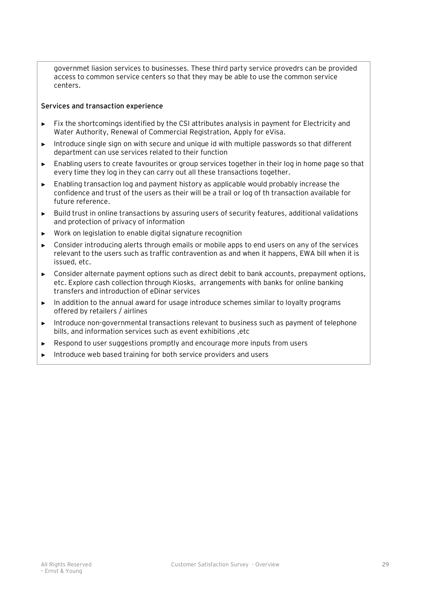governmet liasion services to businesses. These third party service provedrs can be provided access to common service centers so that they may be able to use the common service centers.

#### **Services and transaction experience**

- Fix the shortcomings identified by the CSI attributes analysis in payment for Electricity and Water Authority, Renewal of Commercial Registration, Apply for eVisa.
- ► Introduce single sign on with secure and unique id with multiple passwords so that different department can use services related to their function
- Enabling users to create favourites or group services together in their log in home page so that every time they log in they can carry out all these transactions together.
- ► Enabling transaction log and payment history as applicable would probably increase the confidence and trust of the users as their will be a trail or log of th transaction available for future reference.
- ► Build trust in online transactions by assuring users of security features, additional validations and protection of privacy of information
- Work on legislation to enable digital signature recognition
- Consider introducing alerts through emails or mobile apps to end users on any of the services relevant to the users such as traffic contravention as and when it happens, EWA bill when it is issued, etc.
- ► Consider alternate payment options such as direct debit to bank accounts, prepayment options, etc. Explore cash collection through Kiosks, arrangements with banks for online banking transfers and introduction of eDinar services
- ► In addition to the annual award for usage introduce schemes similar to loyalty programs offered by retailers / airlines
- ► Introduce non-governmental transactions relevant to business such as payment of telephone bills, and information services such as event exhibitions ,etc
- Respond to user suggestions promptly and encourage more inputs from users
- Introduce web based training for both service providers and users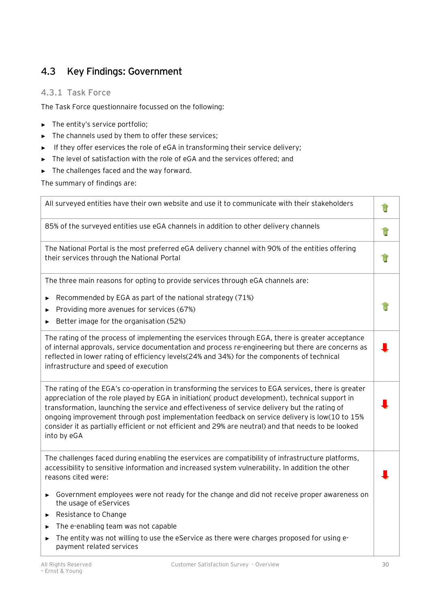# **4.3 Key Findings: Government**

# **4.3.1 Task Force**

The Task Force questionnaire focussed on the following:

- ► The entity's service portfolio;
- ► The channels used by them to offer these services;
- ► If they offer eservices the role of eGA in transforming their service delivery;
- ► The level of satisfaction with the role of eGA and the services offered; and
- ► The challenges faced and the way forward.

The summary of findings are:

| All surveyed entities have their own website and use it to communicate with their stakeholders                                                                                                                                                                                                                                                                                                                                                                                                                                                                                                                                                    |  |
|---------------------------------------------------------------------------------------------------------------------------------------------------------------------------------------------------------------------------------------------------------------------------------------------------------------------------------------------------------------------------------------------------------------------------------------------------------------------------------------------------------------------------------------------------------------------------------------------------------------------------------------------------|--|
| 85% of the surveyed entities use eGA channels in addition to other delivery channels                                                                                                                                                                                                                                                                                                                                                                                                                                                                                                                                                              |  |
| The National Portal is the most preferred eGA delivery channel with 90% of the entities offering<br>their services through the National Portal                                                                                                                                                                                                                                                                                                                                                                                                                                                                                                    |  |
| The three main reasons for opting to provide services through eGA channels are:                                                                                                                                                                                                                                                                                                                                                                                                                                                                                                                                                                   |  |
| Recommended by EGA as part of the national strategy (71%)<br>Providing more avenues for services (67%)<br>Better image for the organisation (52%)                                                                                                                                                                                                                                                                                                                                                                                                                                                                                                 |  |
| The rating of the process of implementing the eservices through EGA, there is greater acceptance<br>of internal approvals, service documentation and process re-engineering but there are concerns as<br>reflected in lower rating of efficiency levels(24% and 34%) for the components of technical<br>infrastructure and speed of execution                                                                                                                                                                                                                                                                                                     |  |
| The rating of the EGA's co-operation in transforming the services to EGA services, there is greater<br>appreciation of the role played by EGA in initiation(product development), technical support in<br>transformation, launching the service and effectiveness of service delivery but the rating of<br>ongoing improvement through post implementation feedback on service delivery is low(10 to 15%<br>consider it as partially efficient or not efficient and 29% are neutral) and that needs to be looked<br>into by eGA                                                                                                                   |  |
| The challenges faced during enabling the eservices are compatibility of infrastructure platforms,<br>accessibility to sensitive information and increased system vulnerability. In addition the other<br>reasons cited were:<br>Government employees were not ready for the change and did not receive proper awareness on<br>$\blacktriangleright$<br>the usage of eServices<br>Resistance to Change<br>$\blacktriangleright$<br>The e-enabling team was not capable<br>$\blacktriangleright$<br>The entity was not willing to use the eService as there were charges proposed for using e-<br>$\blacktriangleright$<br>payment related services |  |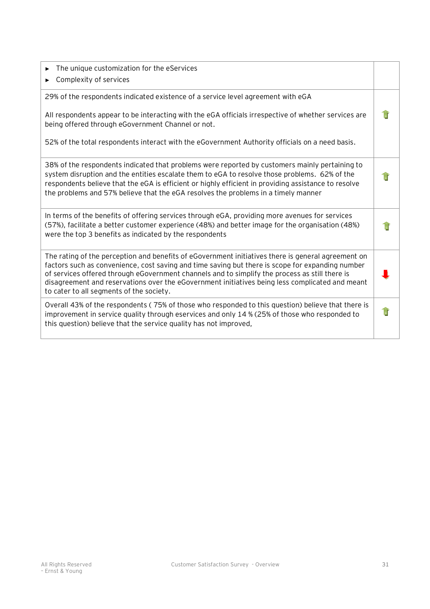| The unique customization for the eServices<br>▶<br>Complexity of services                                                                                                                                                                                                                                                                                                                                                                               |  |
|---------------------------------------------------------------------------------------------------------------------------------------------------------------------------------------------------------------------------------------------------------------------------------------------------------------------------------------------------------------------------------------------------------------------------------------------------------|--|
| 29% of the respondents indicated existence of a service level agreement with eGA<br>All respondents appear to be interacting with the eGA officials irrespective of whether services are                                                                                                                                                                                                                                                                |  |
| being offered through eGovernment Channel or not.                                                                                                                                                                                                                                                                                                                                                                                                       |  |
| 52% of the total respondents interact with the eGovernment Authority officials on a need basis.                                                                                                                                                                                                                                                                                                                                                         |  |
| 38% of the respondents indicated that problems were reported by customers mainly pertaining to<br>system disruption and the entities escalate them to eGA to resolve those problems. 62% of the<br>respondents believe that the eGA is efficient or highly efficient in providing assistance to resolve<br>the problems and 57% believe that the eGA resolves the problems in a timely manner                                                           |  |
| In terms of the benefits of offering services through eGA, providing more avenues for services<br>(57%), facilitate a better customer experience (48%) and better image for the organisation (48%)<br>were the top 3 benefits as indicated by the respondents                                                                                                                                                                                           |  |
| The rating of the perception and benefits of eGovernment initiatives there is general agreement on<br>factors such as convenience, cost saving and time saving but there is scope for expanding number<br>of services offered through eGovernment channels and to simplify the process as still there is<br>disagreement and reservations over the eGovernment initiatives being less complicated and meant<br>to cater to all segments of the society. |  |
| Overall 43% of the respondents (75% of those who responded to this question) believe that there is<br>improvement in service quality through eservices and only 14 % (25% of those who responded to<br>this question) believe that the service quality has not improved,                                                                                                                                                                                |  |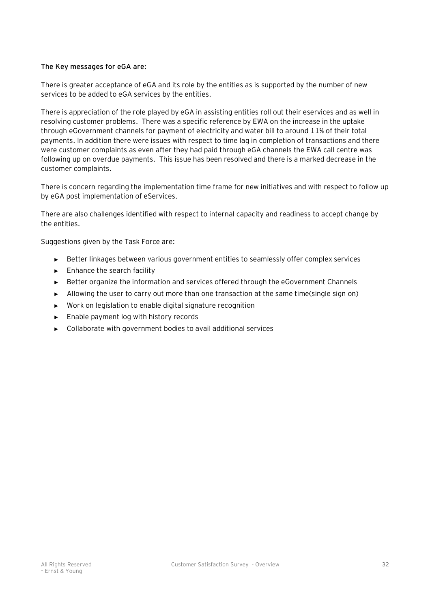#### **The Key messages for eGA are:**

There is greater acceptance of eGA and its role by the entities as is supported by the number of new services to be added to eGA services by the entities.

There is appreciation of the role played by eGA in assisting entities roll out their eservices and as well in resolving customer problems. There was a specific reference by EWA on the increase in the uptake through eGovernment channels for payment of electricity and water bill to around 11% of their total payments. In addition there were issues with respect to time lag in completion of transactions and there were customer complaints as even after they had paid through eGA channels the EWA call centre was following up on overdue payments. This issue has been resolved and there is a marked decrease in the customer complaints.

There is concern regarding the implementation time frame for new initiatives and with respect to follow up by eGA post implementation of eServices.

There are also challenges identified with respect to internal capacity and readiness to accept change by the entities.

Suggestions given by the Task Force are:

- ► Better linkages between various government entities to seamlessly offer complex services
- ► Enhance the search facility
- ► Better organize the information and services offered through the eGovernment Channels
- ► Allowing the user to carry out more than one transaction at the same time(single sign on)
- ► Work on legislation to enable digital signature recognition
- ► Enable payment log with history records
- ► Collaborate with government bodies to avail additional services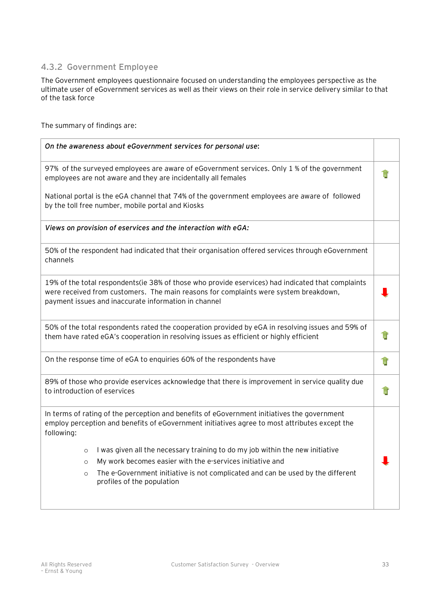# **4.3.2 Government Employee**

The Government employees questionnaire focused on understanding the employees perspective as the ultimate user of eGovernment services as well as their views on their role in service delivery similar to that of the task force

The summary of findings are:

| On the awareness about eGovernment services for personal use:                                                                                                                                                                                     |  |
|---------------------------------------------------------------------------------------------------------------------------------------------------------------------------------------------------------------------------------------------------|--|
| 97% of the surveyed employees are aware of eGovernment services. Only 1 % of the government<br>employees are not aware and they are incidentally all females                                                                                      |  |
| National portal is the eGA channel that 74% of the government employees are aware of followed<br>by the toll free number, mobile portal and Kiosks                                                                                                |  |
| Views on provision of eservices and the interaction with eGA:                                                                                                                                                                                     |  |
| 50% of the respondent had indicated that their organisation offered services through eGovernment<br>channels                                                                                                                                      |  |
| 19% of the total respondents(ie 38% of those who provide eservices) had indicated that complaints<br>were received from customers. The main reasons for complaints were system breakdown,<br>payment issues and inaccurate information in channel |  |
| 50% of the total respondents rated the cooperation provided by eGA in resolving issues and 59% of<br>them have rated eGA's cooperation in resolving issues as efficient or highly efficient                                                       |  |
| On the response time of eGA to enquiries 60% of the respondents have                                                                                                                                                                              |  |
| 89% of those who provide eservices acknowledge that there is improvement in service quality due<br>to introduction of eservices                                                                                                                   |  |
| In terms of rating of the perception and benefits of eGovernment initiatives the government<br>employ perception and benefits of eGovernment initiatives agree to most attributes except the<br>following:                                        |  |
| I was given all the necessary training to do my job within the new initiative<br>$\circ$<br>My work becomes easier with the e-services initiative and<br>$\circ$                                                                                  |  |
| The e-Government initiative is not complicated and can be used by the different<br>$\circ$<br>profiles of the population                                                                                                                          |  |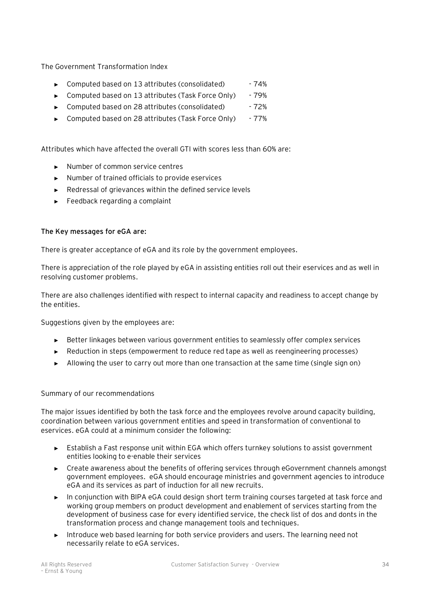The Government Transformation Index

- ► Computed based on 13 attributes (consolidated) 74%
- ► Computed based on 13 attributes (Task Force Only) 79%
- ► Computed based on 28 attributes (consolidated) 72%
- ► Computed based on 28 attributes (Task Force Only) 77%

Attributes which have affected the overall GTI with scores less than 60% are:

- ► Number of common service centres
- ► Number of trained officials to provide eservices
- ► Redressal of grievances within the defined service levels
- ► Feedback regarding a complaint

#### **The Key messages for eGA are:**

There is greater acceptance of eGA and its role by the government employees.

There is appreciation of the role played by eGA in assisting entities roll out their eservices and as well in resolving customer problems.

There are also challenges identified with respect to internal capacity and readiness to accept change by the entities.

Suggestions given by the employees are:

- ► Better linkages between various government entities to seamlessly offer complex services
- ► Reduction in steps (empowerment to reduce red tape as well as reengineering processes)
- ► Allowing the user to carry out more than one transaction at the same time (single sign on)

#### Summary of our recommendations

The major issues identified by both the task force and the employees revolve around capacity building, coordination between various government entities and speed in transformation of conventional to eservices. eGA could at a minimum consider the following:

- ► Establish a Fast response unit within EGA which offers turnkey solutions to assist government entities looking to e-enable their services
- ► Create awareness about the benefits of offering services through eGovernment channels amongst government employees. eGA should encourage ministries and government agencies to introduce eGA and its services as part of induction for all new recruits.
- In conjunction with BIPA eGA could design short term training courses targeted at task force and working group members on product development and enablement of services starting from the development of business case for every identified service, the check list of dos and donts in the transformation process and change management tools and techniques.
- ► Introduce web based learning for both service providers and users. The learning need not necessarily relate to eGA services.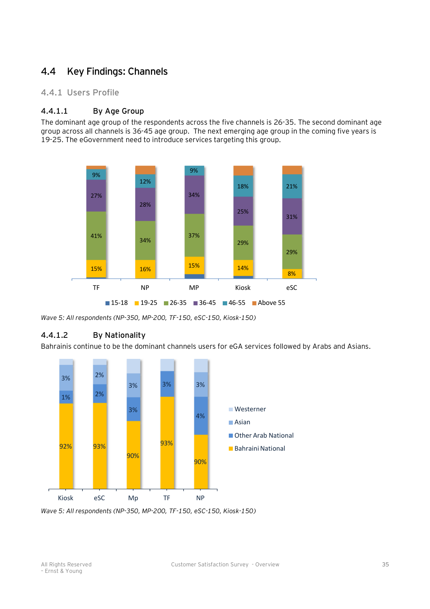# **4.4 Key Findings: Channels**

### **4.4.1 Users Profile**

### **4.4.1.1 By Age Group**

The dominant age group of the respondents across the five channels is 26-35. The second dominant age group across all channels is 36-45 age group. The next emerging age group in the coming five years is 19-25. The eGovernment need to introduce services targeting this group.



*Wave 5: All respondents (NP-350, MP-200, TF-150, eSC-150, Kiosk-150)* 

# **4.4.1.2 By Nationality**

Bahrainis continue to be the dominant channels users for eGA services followed by Arabs and Asians.



*Wave 5: All respondents (NP-350, MP-200, TF-150, eSC-150, Kiosk-150)*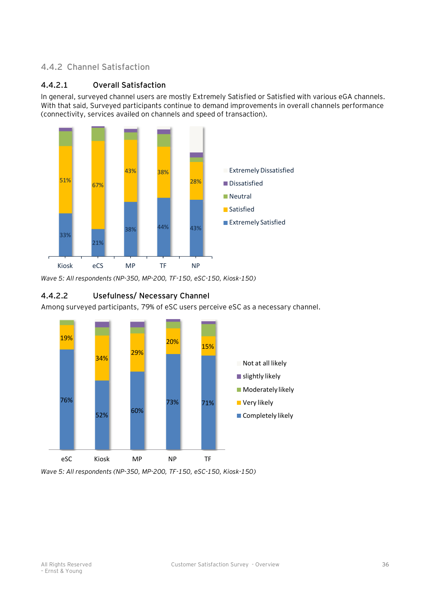# **4.4.2 Channel Satisfaction**

### **4.4.2.1 Overall Satisfaction**

In general, surveyed channel users are mostly Extremely Satisfied or Satisfied with various eGA channels. With that said, Surveyed participants continue to demand improvements in overall channels performance (connectivity, services availed on channels and speed of transaction).



*Wave 5: All respondents (NP-350, MP-200, TF-150, eSC-150, Kiosk-150)* 

# **4.4.2.2 Usefulness/ Necessary Channel**

Among surveyed participants, 79% of eSC users perceive eSC as a necessary channel.



*Wave 5: All respondents (NP-350, MP-200, TF-150, eSC-150, Kiosk-150)*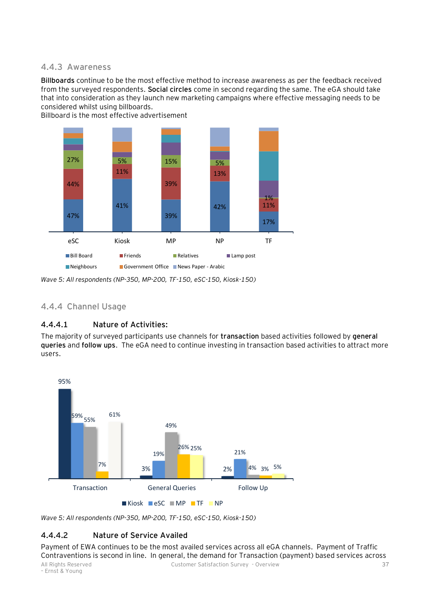#### **4.4.3 Awareness**

**Billboards** continue to be the most effective method to increase awareness as per the feedback received from the surveyed respondents. **Social circles** come in second regarding the same. The eGA should take that into consideration as they launch new marketing campaigns where effective messaging needs to be considered whilst using billboards.

Billboard is the most effective advertisement



*Wave 5: All respondents (NP-350, MP-200, TF-150, eSC-150, Kiosk-150)* 

### **4.4.4 Channel Usage**

# **4.4.4.1 Nature of Activities:**

The majority of surveyed participants use channels for **transaction** based activities followed by **general queries** and **follow ups**. The eGA need to continue investing in transaction based activities to attract more users.



*Wave 5: All respondents (NP-350, MP-200, TF-150, eSC-150, Kiosk-150)* 

# **4.4.4.2 Nature of Service Availed**

Payment of EWA continues to be the most availed services across all eGA channels. Payment of Traffic Contraventions is second in line. In general, the demand for Transaction (payment) based services across

– Ernst & Young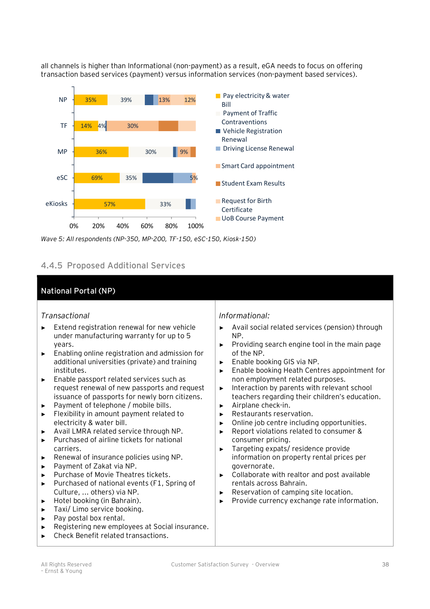all channels is higher than Informational (non-payment) as a result, eGA needs to focus on offering transaction based services (payment) versus information services (non-payment based services).



*Wave 5: All respondents (NP-350, MP-200, TF-150, eSC-150, Kiosk-150)* 

# **4.4.5 Proposed Additional Services**

# **National Portal (NP)**

# *Transactional*

- ► Extend registration renewal for new vehicle under manufacturing warranty for up to 5 years.
- ► Enabling online registration and admission for additional universities (private) and training institutes.
- ► Enable passport related services such as request renewal of new passports and request issuance of passports for newly born citizens.
- Payment of telephone / mobile bills.
- ► Flexibility in amount payment related to electricity & water bill.
- ► Avail LMRA related service through NP.
- ► Purchased of airline tickets for national carriers.
- ► Renewal of insurance policies using NP.
- ► Payment of Zakat via NP.
- ► Purchase of Movie Theatres tickets.
- ► Purchased of national events (F1, Spring of Culture, ... others) via NP.
- ► Hotel booking (in Bahrain).
- ► Taxi/ Limo service booking.
- ► Pay postal box rental.
- ► Registering new employees at Social insurance.
- ► Check Benefit related transactions.

# *Informational:*

- ► Avail social related services (pension) through NP.
- ► Providing search engine tool in the main page of the NP.
- ► Enable booking GIS via NP.
- ► Enable booking Heath Centres appointment for non employment related purposes.
- ► Interaction by parents with relevant school teachers regarding their children's education.
- ► Airplane check-in.
- ► Restaurants reservation.
- ► Online job centre including opportunities.
- ► Report violations related to consumer & consumer pricing.
- ► Targeting expats/ residence provide information on property rental prices per governorate.
- ► Collaborate with realtor and post available rentals across Bahrain.
- ► Reservation of camping site location.
- Provide currency exchange rate information.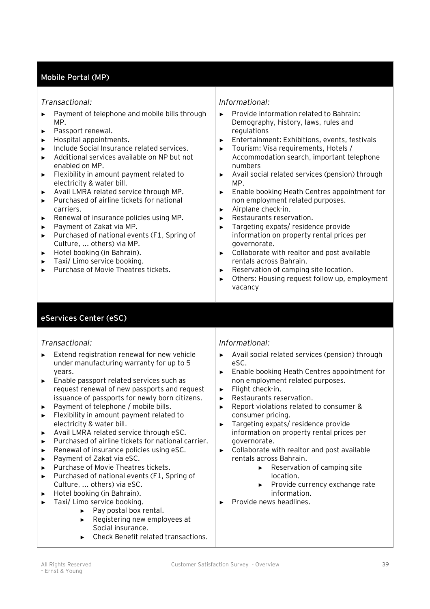# **Mobile Portal (MP)**

#### *Transactional:*

- ► Payment of telephone and mobile bills through MP.
- ► Passport renewal.
- ► Hospital appointments.
- ► Include Social Insurance related services.
- ► Additional services available on NP but not enabled on MP.
- ► Flexibility in amount payment related to electricity & water bill.
- ► Avail LMRA related service through MP.
- Purchased of airline tickets for national carriers.
- ► Renewal of insurance policies using MP.
- ► Payment of Zakat via MP.
- ► Purchased of national events (F1, Spring of Culture, ... others) via MP.
- ► Hotel booking (in Bahrain).
- ► Taxi/ Limo service booking.
- ► Purchase of Movie Theatres tickets.

#### *Informational:*

- ► Provide information related to Bahrain: Demography, history, laws, rules and regulations
- ► Entertainment: Exhibitions, events, festivals
- ► Tourism: Visa requirements, Hotels / Accommodation search, important telephone numbers
- ► Avail social related services (pension) through MP.
- ► Enable booking Heath Centres appointment for non employment related purposes.
- ► Airplane check-in.
- ► Restaurants reservation.
- ► Targeting expats/ residence provide information on property rental prices per governorate.
- ► Collaborate with realtor and post available rentals across Bahrain.
- ► Reservation of camping site location.
- ► Others: Housing request follow up, employment vacancy

# **eServices Center (eSC)**

#### *Transactional:*

- ► Extend registration renewal for new vehicle under manufacturing warranty for up to 5 years.
- ► Enable passport related services such as request renewal of new passports and request issuance of passports for newly born citizens.
- ► Payment of telephone / mobile bills.
- ► Flexibility in amount payment related to electricity & water bill.
- ► Avail LMRA related service through eSC.
- ► Purchased of airline tickets for national carrier.
- ► Renewal of insurance policies using eSC.
- ► Payment of Zakat via eSC.
- ► Purchase of Movie Theatres tickets.
- ► Purchased of national events (F1, Spring of Culture, ... others) via eSC.
- ► Hotel booking (in Bahrain).
- ► Taxi/ Limo service booking.
	- ► Pay postal box rental.
	- ► Registering new employees at Social insurance.
	- ► Check Benefit related transactions.

#### *Informational:*

- ► Avail social related services (pension) through eSC.
- ► Enable booking Heath Centres appointment for non employment related purposes.
- ► Flight check-in.
- ► Restaurants reservation.
- ► Report violations related to consumer & consumer pricing.
- ► Targeting expats/ residence provide information on property rental prices per governorate.
- ► Collaborate with realtor and post available rentals across Bahrain.
	- ► Reservation of camping site location.
	- ► Provide currency exchange rate information.
- ► Provide news headlines.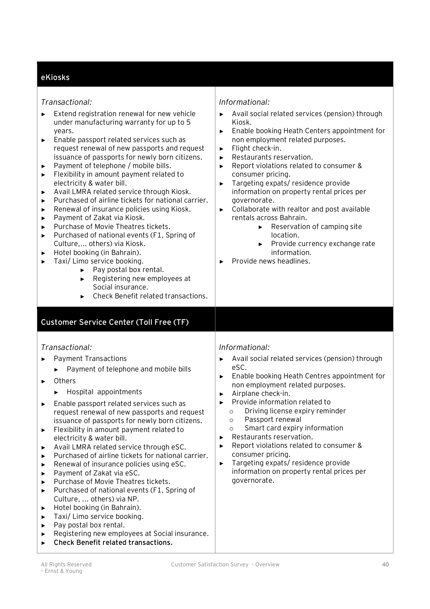# **eKiosks**

| Transactional: |
|----------------|
|----------------|

| Transactional:<br>Extend registration renewal for new vehicle<br>under manufacturing warranty for up to 5<br>years.<br>Enable passport related services such as<br>▶<br>request renewal of new passports and request<br>issuance of passports for newly born citizens.<br>Payment of telephone / mobile bills.<br>▶<br>Flexibility in amount payment related to<br>▶<br>electricity & water bill.<br>Avail LMRA related service through Kiosk.<br>▶<br>Purchased of airline tickets for national carrier.<br>▶<br>Renewal of insurance policies using Kiosk.<br>▶<br>Payment of Zakat via Kiosk.<br>▶<br>Purchase of Movie Theatres tickets.<br>▶<br>Purchased of national events (F1, Spring of<br>▶<br>Culture, others) via Kiosk.<br>Hotel booking (in Bahrain).<br>▶<br>Taxi/ Limo service booking.<br>►<br>Pay postal box rental.<br>$\blacktriangleright$<br>Registering new employees at<br>Þ.<br>Social insurance.<br>Check Benefit related transactions. | Informational:<br>Avail social related services (pension) through<br>Kiosk.<br>Enable booking Heath Centers appointment for<br>▶<br>non employment related purposes.<br>Flight check-in.<br>▶<br>Restaurants reservation.<br>▶<br>Report violations related to consumer &<br>▶<br>consumer pricing.<br>Targeting expats/residence provide<br>▶<br>information on property rental prices per<br>governorate.<br>Collaborate with realtor and post available<br>$\blacktriangleright$<br>rentals across Bahrain.<br>Reservation of camping site<br>►<br>location.<br>Provide currency exchange rate<br>►<br>information.<br>Provide news headlines. |
|-------------------------------------------------------------------------------------------------------------------------------------------------------------------------------------------------------------------------------------------------------------------------------------------------------------------------------------------------------------------------------------------------------------------------------------------------------------------------------------------------------------------------------------------------------------------------------------------------------------------------------------------------------------------------------------------------------------------------------------------------------------------------------------------------------------------------------------------------------------------------------------------------------------------------------------------------------------------|---------------------------------------------------------------------------------------------------------------------------------------------------------------------------------------------------------------------------------------------------------------------------------------------------------------------------------------------------------------------------------------------------------------------------------------------------------------------------------------------------------------------------------------------------------------------------------------------------------------------------------------------------|
| <b>Customer Service Center (Toll Free (TF)</b>                                                                                                                                                                                                                                                                                                                                                                                                                                                                                                                                                                                                                                                                                                                                                                                                                                                                                                                    |                                                                                                                                                                                                                                                                                                                                                                                                                                                                                                                                                                                                                                                   |
| Transactional:<br><b>Payment Transactions</b><br>Payment of telephone and mobile bills<br>Others<br>▶<br>Hospital appointments<br>▶<br>Enable passport related services such as<br>▶<br>request renewal of new passports and request<br>issuance of passports for newly born citizens.<br>Flexibility in amount payment related to<br>▶<br>electricity & water bill.<br>Avail LMRA related service through eSC.<br>▶<br>Purchased of airline tickets for national carrier.<br>▶<br>Renewal of insurance policies using eSC.<br>▶<br>Payment of Zakat via eSC.<br>▶<br>Purchase of Movie Theatres tickets.<br>▶<br>Purchased of national events (F1, Spring of<br>▶<br>Culture,  others) via NP.<br>Hotel booking (in Bahrain).<br>▶<br>Taxi/ Limo service booking.<br>▶<br>Pay postal box rental.<br>▶<br>Registering new employees at Social insurance.<br>▶                                                                                                     | Informational:<br>Avail social related services (pension) through<br>▶<br>eSC.<br>Enable booking Heath Centres appointment for<br>▶<br>non employment related purposes.<br>Airplane check-in.<br>▶<br>Provide information related to<br>Driving license expiry reminder<br>$\circ$<br>Passport renewal<br>$\circ$<br>Smart card expiry information<br>$\circ$<br>Restaurants reservation.<br>▶<br>Report violations related to consumer &<br>▶<br>consumer pricing.<br>Targeting expats/residence provide<br>▶<br>information on property rental prices per<br>governorate.                                                                       |

► **Check Benefit related transactions.**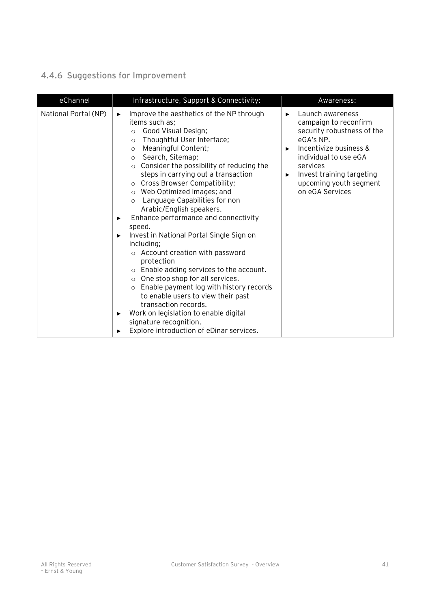# **4.4.6 Suggestions for Improvement**

| eChannel             | Infrastructure, Support & Connectivity:                                                                                                                                                                                                                                                                                                                                                                                                                                                                                                                                                                                                                                                                                                                                                                                                                                                                                                                           | Awareness:                                                                                                                                                                                                                                   |
|----------------------|-------------------------------------------------------------------------------------------------------------------------------------------------------------------------------------------------------------------------------------------------------------------------------------------------------------------------------------------------------------------------------------------------------------------------------------------------------------------------------------------------------------------------------------------------------------------------------------------------------------------------------------------------------------------------------------------------------------------------------------------------------------------------------------------------------------------------------------------------------------------------------------------------------------------------------------------------------------------|----------------------------------------------------------------------------------------------------------------------------------------------------------------------------------------------------------------------------------------------|
| National Portal (NP) | Improve the aesthetics of the NP through<br>▶<br>items such as;<br>Good Visual Design;<br>$\circ$<br>Thoughtful User Interface;<br>$\circ$<br>Meaningful Content;<br>$\circ$<br>Search, Sitemap;<br>$\circ$<br>Consider the possibility of reducing the<br>$\circ$<br>steps in carrying out a transaction<br>Cross Browser Compatibility;<br>Web Optimized Images; and<br>$\circ$<br>Language Capabilities for non<br>$\circ$<br>Arabic/English speakers.<br>Enhance performance and connectivity<br>▶<br>speed.<br>Invest in National Portal Single Sign on<br>▶<br>including;<br>o Account creation with password<br>protection<br>Enable adding services to the account.<br>One stop shop for all services.<br>$\circ$<br>Enable payment log with history records<br>$\circ$<br>to enable users to view their past<br>transaction records.<br>Work on legislation to enable digital<br>▶<br>signature recognition.<br>Explore introduction of eDinar services. | Launch awareness<br>▶<br>campaign to reconfirm<br>security robustness of the<br>eGA's NP.<br>Incentivize business &<br>▶<br>individual to use eGA<br>services<br>Invest training targeting<br>▶<br>upcoming youth segment<br>on eGA Services |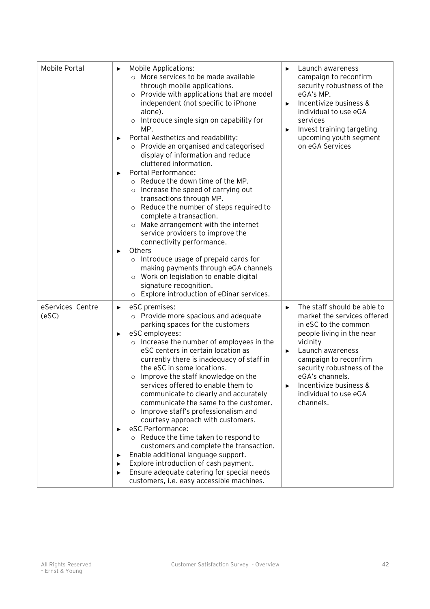| Mobile Portal                   | Mobile Applications:<br>▶<br>o More services to be made available<br>through mobile applications.<br>Provide with applications that are model<br>$\circ$<br>independent (not specific to iPhone<br>alone).<br>Introduce single sign on capability for<br>$\circ$<br>MP.<br>Portal Aesthetics and readability:<br>▶<br>o Provide an organised and categorised<br>display of information and reduce<br>cluttered information.<br>Portal Performance:<br>▶<br>o Reduce the down time of the MP.<br>Increase the speed of carrying out<br>$\circ$<br>transactions through MP.<br>Reduce the number of steps required to<br>$\circ$<br>complete a transaction.<br>Make arrangement with the internet<br>$\circ$<br>service providers to improve the<br>connectivity performance.<br>Others<br>▶<br>Introduce usage of prepaid cards for<br>$\circ$<br>making payments through eGA channels<br>Work on legislation to enable digital<br>$\circ$<br>signature recognition.<br>o Explore introduction of eDinar services. | Launch awareness<br>▶<br>campaign to reconfirm<br>security robustness of the<br>eGA's MP.<br>Incentivize business &<br>▶<br>individual to use eGA<br>services<br>Invest training targeting<br>▶<br>upcoming youth segment<br>on eGA Services                                                             |
|---------------------------------|-------------------------------------------------------------------------------------------------------------------------------------------------------------------------------------------------------------------------------------------------------------------------------------------------------------------------------------------------------------------------------------------------------------------------------------------------------------------------------------------------------------------------------------------------------------------------------------------------------------------------------------------------------------------------------------------------------------------------------------------------------------------------------------------------------------------------------------------------------------------------------------------------------------------------------------------------------------------------------------------------------------------|----------------------------------------------------------------------------------------------------------------------------------------------------------------------------------------------------------------------------------------------------------------------------------------------------------|
| eServices Centre<br>$($ eSC $)$ | eSC premises:<br>▶<br>o Provide more spacious and adequate<br>parking spaces for the customers<br>eSC employees:<br>▶<br>Increase the number of employees in the<br>$\circ$<br>eSC centers in certain location as<br>currently there is inadequacy of staff in<br>the eSC in some locations.<br>Improve the staff knowledge on the<br>$\circ$<br>services offered to enable them to<br>communicate to clearly and accurately<br>communicate the same to the customer.<br>Improve staff's professionalism and<br>courtesy approach with customers.<br>eSC Performance:<br>▶<br>o Reduce the time taken to respond to<br>customers and complete the transaction.<br>Enable additional language support.<br>▶<br>Explore introduction of cash payment.<br>▶<br>Ensure adequate catering for special needs<br>▶<br>customers, i.e. easy accessible machines.                                                                                                                                                          | The staff should be able to<br>▶<br>market the services offered<br>in eSC to the common<br>people living in the near<br>vicinity<br>Launch awareness<br>▶<br>campaign to reconfirm<br>security robustness of the<br>eGA's channels.<br>Incentivize business &<br>▶<br>individual to use eGA<br>channels. |